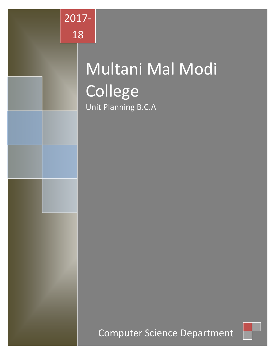

# Multani Mal Modi College Unit Planning B.C.A

Computer Science Department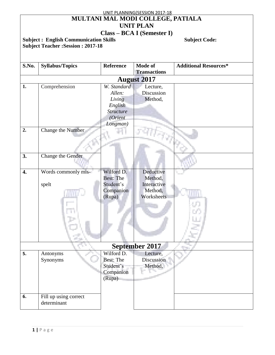|                |                                              |                  | UNIT PLANNING(SESSION 2017-18         |                              |  |  |
|----------------|----------------------------------------------|------------------|---------------------------------------|------------------------------|--|--|
|                | MULTANI MAL MODI COLLEGE, PATIALA            |                  |                                       |                              |  |  |
|                | <b>UNIT PLAN</b>                             |                  |                                       |                              |  |  |
|                |                                              |                  | <b>Class – BCA I (Semester I)</b>     |                              |  |  |
|                | <b>Subject: English Communication Skills</b> |                  |                                       | <b>Subject Code:</b>         |  |  |
|                | <b>Subject Teacher: Session: 2017-18</b>     |                  |                                       |                              |  |  |
|                |                                              |                  |                                       |                              |  |  |
|                |                                              |                  |                                       |                              |  |  |
|                |                                              |                  |                                       |                              |  |  |
| S.No.          | <b>Syllabus/Topics</b>                       | <b>Reference</b> | <b>Mode of</b><br><b>Transactions</b> | <b>Additional Resources*</b> |  |  |
|                |                                              |                  |                                       |                              |  |  |
|                |                                              |                  | <b>August 2017</b>                    |                              |  |  |
| 1.             | Comprehension                                | W. Standard      | Lecture,                              |                              |  |  |
|                |                                              | Allen:           | Discussion                            |                              |  |  |
|                |                                              | Living           | Method,                               |                              |  |  |
|                |                                              | English          |                                       |                              |  |  |
|                |                                              | <b>Structure</b> |                                       |                              |  |  |
|                |                                              | (Orient          |                                       |                              |  |  |
|                |                                              | Longman)         |                                       |                              |  |  |
| 2.             | <b>Change the Number</b>                     |                  |                                       |                              |  |  |
|                |                                              |                  |                                       |                              |  |  |
|                |                                              |                  |                                       |                              |  |  |
|                |                                              |                  |                                       |                              |  |  |
| 3.             | Change the Gender                            |                  |                                       |                              |  |  |
|                |                                              |                  |                                       |                              |  |  |
|                |                                              |                  |                                       |                              |  |  |
| 4.             | Words commonly mis-                          | Wilford D.       | Deductive                             |                              |  |  |
|                |                                              | <b>Best: The</b> | Method,                               |                              |  |  |
|                | spelt                                        | Student's        | Interactive                           |                              |  |  |
|                |                                              | Companion        | Method,                               |                              |  |  |
|                |                                              | (Rupa)           | Worksheets                            |                              |  |  |
|                |                                              |                  |                                       |                              |  |  |
|                |                                              |                  |                                       |                              |  |  |
|                |                                              |                  |                                       |                              |  |  |
|                |                                              |                  |                                       |                              |  |  |
|                |                                              |                  |                                       |                              |  |  |
|                |                                              |                  |                                       |                              |  |  |
|                |                                              |                  |                                       |                              |  |  |
| September 2017 |                                              |                  |                                       |                              |  |  |
| 5.             | Antonyms                                     | Wilford D.       | Lecture,                              |                              |  |  |
|                | Synonyms                                     | <b>Best: The</b> | Discussion                            |                              |  |  |
|                |                                              | Student's        | Method,                               |                              |  |  |
|                |                                              | Companion        |                                       |                              |  |  |
|                |                                              | (Rupa)           |                                       |                              |  |  |
|                |                                              |                  |                                       |                              |  |  |
|                |                                              |                  |                                       |                              |  |  |
| 6.             | Fill up using correct                        |                  |                                       |                              |  |  |
|                | determinant                                  |                  |                                       |                              |  |  |
|                |                                              |                  |                                       |                              |  |  |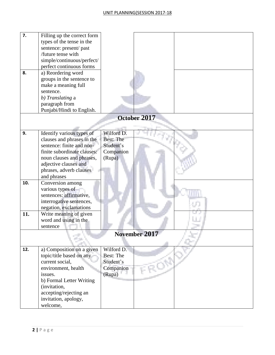| 7.<br>8. | Filling up the correct form<br>types of the tense in the<br>sentence: present/ past<br>/future tense with<br>simple/continuous/perfect/<br>perfect continuous forms<br>a) Reordering word<br>groups in the sentence to |                  |
|----------|------------------------------------------------------------------------------------------------------------------------------------------------------------------------------------------------------------------------|------------------|
|          | make a meaning full<br>sentence.                                                                                                                                                                                       |                  |
|          | b) Translating a                                                                                                                                                                                                       |                  |
|          | paragraph from                                                                                                                                                                                                         |                  |
|          | Punjabi/Hindi to English.                                                                                                                                                                                              |                  |
|          |                                                                                                                                                                                                                        | October 2017     |
| 9.       | Identify various types of                                                                                                                                                                                              | Wilford D.       |
|          | clauses and phrases in the                                                                                                                                                                                             | <b>Best: The</b> |
|          | sentence: finite and non-                                                                                                                                                                                              | Student's        |
|          | finite subordinate clauses:                                                                                                                                                                                            | Companion        |
|          | noun clauses and phrases,                                                                                                                                                                                              | (Rupa)           |
|          | adjective clauses and                                                                                                                                                                                                  |                  |
|          | phrases, adverb clauses                                                                                                                                                                                                |                  |
|          | and phrases                                                                                                                                                                                                            |                  |
| 10.      | Conversion among<br>various types of                                                                                                                                                                                   |                  |
|          | sentences: affirmative,                                                                                                                                                                                                |                  |
|          | interrogative sentences,                                                                                                                                                                                               |                  |
|          | negation, exclamations                                                                                                                                                                                                 |                  |
| 11.      | Write meaning of given                                                                                                                                                                                                 |                  |
|          | word and using in the                                                                                                                                                                                                  |                  |
|          | sentence                                                                                                                                                                                                               |                  |
|          |                                                                                                                                                                                                                        | November 2017    |
|          |                                                                                                                                                                                                                        |                  |
| 12.      | a) Composition on a given                                                                                                                                                                                              | Wilford D.       |
|          | topic/title based on any                                                                                                                                                                                               | <b>Best: The</b> |
|          | current social,                                                                                                                                                                                                        | Student's        |
|          | environment, health                                                                                                                                                                                                    | Companion        |
|          | issues.<br>b) Formal Letter Writing                                                                                                                                                                                    | (Rupa)           |
|          | (invitation,                                                                                                                                                                                                           |                  |
|          | accepting/rejecting an                                                                                                                                                                                                 |                  |
|          | invitation, apology,                                                                                                                                                                                                   |                  |
|          | welcome,                                                                                                                                                                                                               |                  |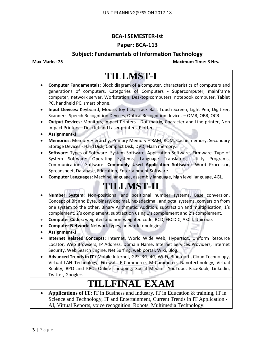### **BCA-I SEMESTER-Ist**

### **Paper: BCA-113**

### **Subject: Fundamentals of Information Technology**

**Max Marks: 75 Maximum Time: 3 Hrs.**

### **TILLMST-I Computer Fundamentals:** Block diagram of a computer, characteristics of computers and generations of computers. Categories of Computers - Supercomputer, mainframe computer, network server, Workstation, Desktop computers, notebook computer, Tablet PC, handheld PC, smart phone. **Input Devices:** Keyboard, Mouse, Joy tick, Track Ball, Touch Screen, Light Pen, Digitizer, Scanners, Speech Recognition Devices, Optical Recognition devices – OMR, OBR, OCR **Output Devices:** Monitors, Impact Printers - Dot matrix, Character and Line printer, Non Impact Printers – DeskJet and Laser printers, Plotter. **Assignment-**1 **Memories:** Memory Hierarchy, Primary Memory – RAM, ROM, Cache memory. Secondary Storage Devices - Hard Disk, Compact Disk, DVD, Flash memory. **Software:** Types of Software- System Software, Application Software, Firmware. Type of System Software: Operating Systems, Language Translators, Utility Programs, Communications Software. **Commonly Used Application Software**: Word Processor, Spreadsheet, Database, Education, Entertainment Software. **Computer Languages:** Machine language, assembly language, high level language, 4GL. **TILLMST-II Number System:** Non-positional and positional number systems, Base conversion, Concept of Bit and Byte, binary, decimal, hexadecimal, and octal systems, conversion from one system to the other. Binary Arithmetic: Addition, subtraction and multiplication, 1's complement, 2's complement, subtraction using 1's complement and 2's complement. **Computer Codes:** weighted and non-weighted code, BCD, EBCDIC, ASCII, Unicode. **Computer Network:** Network types, network topologies. **Assignment-**1 **Internet Related Concepts:** Internet, World Wide Web, Hypertext, Uniform Resource Locator, Web Browsers, IP Address, Domain Name, Internet Services Providers, Internet Security, Web Search Engine, Net Surfing, web portal, Wiki, Blog. **Advanced Trends in IT :** Mobile Internet, GPS, 3G, 4G, Wi-Fi, Bluetooth, Cloud Technology, Virtual LAN Technology, Firewall, E-Commerce, M-Commerce, Nanotechnology, Virtual Reality, BPO and KPO, Online shopping, Social Media - YouTube, FaceBook, Linkedin, Twitter, Google+. **TILLFINAL EXAM Applications of IT:** IT in Business and Industry, IT in Education & training, IT in Science and Technology, IT and Entertainment, Current Trends in IT Application - AI, Virtual Reports, voice recognition, Robots, Multimedia Technology.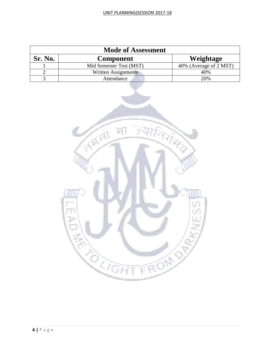| <b>Mode of Assessment</b> |                         |                                      |  |  |
|---------------------------|-------------------------|--------------------------------------|--|--|
| Sr. No.                   | <b>Component</b>        | Weightage                            |  |  |
|                           | Mid Semester Test (MST) | $\overline{40\%}$ (Average of 2 MST) |  |  |
|                           | Written Assignments     | 40%                                  |  |  |
|                           | Attendance              | 20%                                  |  |  |

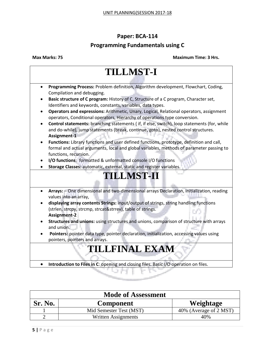### **Paper: BCA-114**

### **Programming Fundamentals using C**

| <b>TILLMST-I</b>                                                                                                                                                                                              |  |  |  |
|---------------------------------------------------------------------------------------------------------------------------------------------------------------------------------------------------------------|--|--|--|
| Programming Process: Problem definition, Algorithm development, Flowchart, Coding,<br>$\bullet$<br>Compilation and debugging.                                                                                 |  |  |  |
| Basic structure of C program: History of C, Structure of a C program, Character set,<br>Identifiers and keywords, constants, variables, data types.                                                           |  |  |  |
| Operators and expressions: Arithmetic, Unary, Logical, Relational operators, assignment<br>operators, Conditional operators, Hierarchy of operations type conversion.                                         |  |  |  |
| Control statements: branching statements (if, if else, switch), loop statements (for, while<br>and do-while), jump statements (break, continue, goto), nested control structures.<br>Assignment-1             |  |  |  |
| Functions: Library functions and user defined functions, prototype, definition and call,<br>formal and actual arguments, local and global variables, methods of parameter passing to<br>functions, recursion. |  |  |  |
| I/O functions: formatted & unformatted console I/O functions<br>Storage Classes: automatic, external, static and register variables.                                                                          |  |  |  |
| <b>TILLMST-II</b>                                                                                                                                                                                             |  |  |  |
| Arrays: - One dimensional and two-dimensional arrays Declaration, initialization, reading<br>values into an array,                                                                                            |  |  |  |
| displaying array contents Strings: input/output of strings, string handling functions<br>(strlen, strcpy, strcmp, strcat&strrev), table of strings.<br><b>Assignment-2</b>                                    |  |  |  |
| Structures and unions: using structures and unions, comparison of structure with arrays<br>and union.                                                                                                         |  |  |  |
| Pointers: pointer data type, pointer declaration, initialization, accessing values using<br>pointers, pointers and arrays.                                                                                    |  |  |  |
| <b>TILLFINAL EXAM</b>                                                                                                                                                                                         |  |  |  |
| Introduction to Files in C: opening and closing files. Basic I/O operation on files.<br>$\bullet$                                                                                                             |  |  |  |
|                                                                                                                                                                                                               |  |  |  |

| <b>Mode of Assessment</b> |                         |                        |  |  |
|---------------------------|-------------------------|------------------------|--|--|
| <b>Sr. No.</b>            | <b>Component</b>        | Weightage              |  |  |
|                           | Mid Semester Test (MST) | 40% (Average of 2 MST) |  |  |
|                           | Written Assignments     | 40%                    |  |  |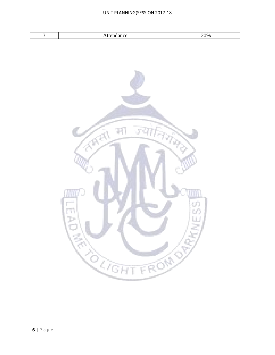### UNIT PLANNING(SESSION 2017-18

| . | 10 <sub>o</sub><br>.<br>$\sim$ |
|---|--------------------------------|

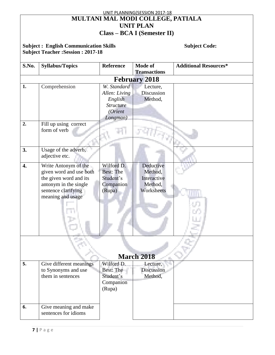| UNIT PLANNING(SESSION 2017-18                                                                                    |                                                                                                                                                |                                                                        |                                                              |                              |  |  |  |
|------------------------------------------------------------------------------------------------------------------|------------------------------------------------------------------------------------------------------------------------------------------------|------------------------------------------------------------------------|--------------------------------------------------------------|------------------------------|--|--|--|
| MULTANI MAL MODI COLLEGE, PATIALA                                                                                |                                                                                                                                                |                                                                        |                                                              |                              |  |  |  |
|                                                                                                                  |                                                                                                                                                |                                                                        | <b>UNIT PLAN</b>                                             |                              |  |  |  |
| Class – BCA I (Semester II)                                                                                      |                                                                                                                                                |                                                                        |                                                              |                              |  |  |  |
| <b>Subject: English Communication Skills</b><br><b>Subject Code:</b><br><b>Subject Teacher: Session: 2017-18</b> |                                                                                                                                                |                                                                        |                                                              |                              |  |  |  |
| S.No.                                                                                                            | <b>Syllabus/Topics</b>                                                                                                                         | <b>Reference</b>                                                       | Mode of<br><b>Transactions</b>                               | <b>Additional Resources*</b> |  |  |  |
|                                                                                                                  |                                                                                                                                                |                                                                        | <b>February 2018</b>                                         |                              |  |  |  |
| 1.                                                                                                               | Comprehension                                                                                                                                  | W. Standard<br>Allen: Living<br>English<br><b>Structure</b><br>(Orient | Lecture,<br>Discussion<br>Method,                            |                              |  |  |  |
| $\overline{2}$ .                                                                                                 | Fill up using correct<br>form of verb                                                                                                          | Longman)                                                               |                                                              |                              |  |  |  |
| 3.                                                                                                               | Usage of the adverb,<br>adjective etc.                                                                                                         |                                                                        |                                                              |                              |  |  |  |
| 4.                                                                                                               | Write Antonym of the<br>given word and use both<br>the given word and its<br>antonym in the single<br>sentence clarifying<br>meaning and usage | Wilford D.<br><b>Best: The</b><br>Student's<br>Companion<br>(Rupa)     | Deductive<br>Method,<br>Interactive<br>Method,<br>Worksheets |                              |  |  |  |
|                                                                                                                  |                                                                                                                                                |                                                                        | <b>March 2018</b>                                            |                              |  |  |  |
| 5.                                                                                                               | Give different meanings<br>to Synonyms and use<br>them in sentences                                                                            | Wilford D.<br><b>Best: The</b><br>Student's<br>Companion<br>(Rupa)     | Lecture,<br>Discussion<br>Method,                            |                              |  |  |  |
| 6.                                                                                                               | Give meaning and make<br>sentences for idioms                                                                                                  |                                                                        |                                                              |                              |  |  |  |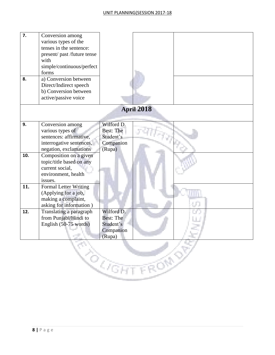| 7.<br>8. | Conversion among<br>various types of the<br>tenses in the sentence:<br>present/past/future tense<br>with<br>simple/continuous/perfect<br>forms<br>a) Conversion between<br>Direct/Indirect speech<br>b) Conversion between<br>active/passive voice |                                                                    |            |  |
|----------|----------------------------------------------------------------------------------------------------------------------------------------------------------------------------------------------------------------------------------------------------|--------------------------------------------------------------------|------------|--|
|          |                                                                                                                                                                                                                                                    |                                                                    | April 2018 |  |
| 9.       | Conversion among<br>various types of<br>sentences: affirmative,<br>interrogative sentences,<br>negation, exclamations                                                                                                                              | Wilford D.<br><b>Best: The</b><br>Student's<br>Companion<br>(Rupa) |            |  |
| 10.      | Composition on a given<br>topic/title based on any<br>current social,<br>environment, health<br>issues.                                                                                                                                            |                                                                    |            |  |
| 11.      | Formal Letter Writing<br>(Applying for a job,<br>making a complaint,<br>asking for information)                                                                                                                                                    |                                                                    |            |  |
| 12.      | Translating a paragraph<br>from Punjabi/Hindi to<br>English (50-75 words)                                                                                                                                                                          | Wilford D.<br><b>Best: The</b><br>Student's<br>Companion<br>(Rupa) |            |  |
|          |                                                                                                                                                                                                                                                    | $\mathcal{Q}$ ेंबान                                                | FROM       |  |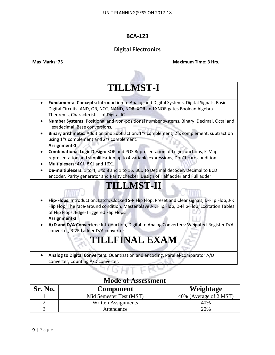### **Digital Electronics**

**Max Marks: 75 Maximum Time: 3 Hrs.**

# **TILLMST-I**

- **Fundamental Concepts:** Introduction to Analog and Digital Systems, Digital Signals, Basic Digital Circuits: AND, OR, NOT, NAND, NOR, XOR and XNOR gates.Boolean Algebra Theorems, Characteristics of Digital IC.
- **Number Systems:** Positional and Non-positional number systems, Binary, Decimal, Octal and Hexadecimal, Base conversions,
- **Binary arithmetic:** Addition and Subtraction, 1"s complement, 2"s complement, subtraction using 1"s complement and 2"s complement. **Assignment-1**
- **Combinational Logic Design:** SOP and POS Representation of Logic functions, K-Map representation and simplification up to 4 variable expressions, Don"t care condition.
- **Multiplexers:** 4X1, 8X1 and 16X1.
- **De-multiplexers:** 1 to 4, 1 to 8 and 1 to 16. BCD to Decimal decoder, Decimal to BCD encoder. Parity generator and Parity checker. Design of Half adder and Full adder

## **TILLMST-II**

- **Flip-Flops:** Introduction, Latch, Clocked S-R Flip Flop, Preset and Clear signals, D-Flip Flop, J-K Flip Flop, The race-around condition, Master Slave J-K Flip Flop, D-Flip-Flop, Excitation Tables of Flip Flops. Edge-Triggered Flip Flops. **Assignment-2**
- **A/D and D/A Converters**: Introduction, Digital to Analog Converters: Weighted-Register D/A converter, R-2R Ladder D/A converter.

## **TILLFINAL EXAM**

 **Analog to Digital Converters:** Quantization and encoding, Parallel-comparator A/D converter, Counting A/D converter.

| <b>Mode of Assessment</b> |                         |                        |  |
|---------------------------|-------------------------|------------------------|--|
| <b>Sr. No.</b>            | <b>Component</b>        | Weightage              |  |
|                           | Mid Semester Test (MST) | 40% (Average of 2 MST) |  |
|                           | Written Assignments     | 40%                    |  |
|                           | Attendance              | 20%                    |  |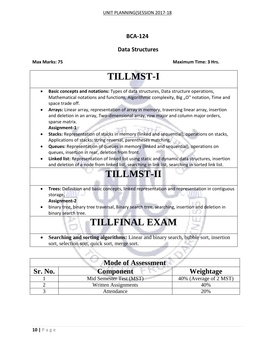### **Data Structures**

**Max Marks: 75** 

| <b>Maximum Time: 3 Hrs.</b> |  |  |
|-----------------------------|--|--|

| <b>TILLMST-I</b>                                                                                                                                                                                     |  |  |
|------------------------------------------------------------------------------------------------------------------------------------------------------------------------------------------------------|--|--|
| Basic concepts and notations: Types of data structures, Data structure operations,<br>Mathematical notations and functions, Algorithmic complexity, Big "O" notation, Time and<br>space trade off.   |  |  |
| Arrays: Linear array, representation of array in memory, traversing linear array, insertion<br>and deletion in an array, Two-dimensional array, row major and column major orders,<br>sparse matrix. |  |  |
| Assignment-1                                                                                                                                                                                         |  |  |
| Stacks: Representation of stacks in memory (linked and sequential), operations on stacks,<br>Applications of stacks: string reversal, parentheses matching.                                          |  |  |
| Queues: Representation of queues in memory (linked and sequential), operations on<br>queues, insertion in rear, deletion from front.                                                                 |  |  |
| Linked list: Representation of linked list using static and dynamic data structures, insertion<br>and deletion of a node from linked list, searching in link list, searching in sorted link list.    |  |  |
| <b>TILLMST-II</b>                                                                                                                                                                                    |  |  |
| Trees: Definition and basic concepts, linked representation and representation in contiguous<br>$\bullet$<br>storage,                                                                                |  |  |
| <b>Assignment-2</b>                                                                                                                                                                                  |  |  |
| binary tree, binary tree traversal, Binary search tree, searching, insertion and deletion in<br>binary search tree.                                                                                  |  |  |
| <b>TILLFINAL EXAM</b>                                                                                                                                                                                |  |  |
| Searching and sorting algorithms: Linear and binary search, bubble sort, insertion<br>sort, selection sort, quick sort, merge sort.                                                                  |  |  |
|                                                                                                                                                                                                      |  |  |

| <b>Mode of Assessment</b> |                         |                        |  |  |
|---------------------------|-------------------------|------------------------|--|--|
| <b>Sr. No.</b>            | <b>Component</b>        | Weightage              |  |  |
|                           | Mid Semester Test (MST) | 40% (Average of 2 MST) |  |  |
|                           | Written Assignments     | 40%                    |  |  |
|                           | Attendance              | 20%                    |  |  |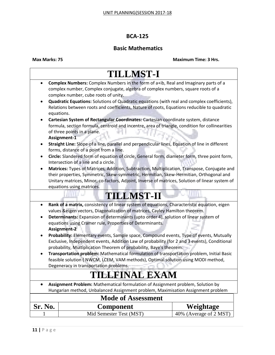### **Basic Mathematics**

|                                                                                                                                                                                                                                                                                                                                                            | <b>TILLMST-I</b>                                                                                                                                                                                                                                                                                                                                                                                                                                                       |                        |  |  |  |
|------------------------------------------------------------------------------------------------------------------------------------------------------------------------------------------------------------------------------------------------------------------------------------------------------------------------------------------------------------|------------------------------------------------------------------------------------------------------------------------------------------------------------------------------------------------------------------------------------------------------------------------------------------------------------------------------------------------------------------------------------------------------------------------------------------------------------------------|------------------------|--|--|--|
| $\bullet$<br>$\bullet$                                                                                                                                                                                                                                                                                                                                     | Complex Numbers: Complex Numbers in the form of a+ib, Real and Imaginary parts of a<br>complex number, Complex conjugate, algebra of complex numbers, square roots of a<br>complex number, cube roots of unity.<br><b>Quadratic Equations:</b> Solutions of Quadratic equations (with real and complex coefficients),<br>Relations between roots and coefficients, Nature of roots, Equations reducible to quadratic                                                   |                        |  |  |  |
| $\bullet$                                                                                                                                                                                                                                                                                                                                                  | equations.<br>Cartesian System of Rectangular Coordinates: Cartesian coordinate system, distance<br>formula, section formula, centroid and incentre, area of triangle, condition for collinearities<br>of three points in a plane.<br>Assignment-1                                                                                                                                                                                                                     |                        |  |  |  |
|                                                                                                                                                                                                                                                                                                                                                            | Straight Line: Slope of a line, parallel and perpendicular lines, Equation of line in different<br>forms, distance of a point from a line.                                                                                                                                                                                                                                                                                                                             |                        |  |  |  |
|                                                                                                                                                                                                                                                                                                                                                            | Circle: Slandered form of equation of circle, General form, diameter form, three point form,<br>Intersection of a line and a circle.                                                                                                                                                                                                                                                                                                                                   |                        |  |  |  |
| $\bullet$                                                                                                                                                                                                                                                                                                                                                  | Matrices: Types of Matrices, Addition, Subtraction, Multiplication, Transpose, Conjugate and<br>their properties, Symmetric, Skew-symmetric, Hermitian, Skew-Hermitian, Orthogonal and<br>Unitary matrices, Minor, co-factors, Adjoint, Inverse of matrices, Solution of linear system of<br>equations using matrices.                                                                                                                                                 |                        |  |  |  |
| <b>TILLMST-II</b>                                                                                                                                                                                                                                                                                                                                          |                                                                                                                                                                                                                                                                                                                                                                                                                                                                        |                        |  |  |  |
| Rank of a matrix, consistency of linear system of equations, Characteristic equation, eigen<br>$\bullet$<br>values & eigen vectors, Diagonalization of matrices, Cayley Hamilton theorem.<br>Determinants: Expansion of determinants (upto order 4), solution of linear system of<br>$\bullet$<br>equations using Cramer rule, Properties of Determinants. |                                                                                                                                                                                                                                                                                                                                                                                                                                                                        |                        |  |  |  |
|                                                                                                                                                                                                                                                                                                                                                            | <b>Assignment-2</b><br>Probability: Elementary events, Sample space, Compound events, Type of events, Mutually<br>Exclusive, Independent events, Addition Law of probability (for 2 and 3 events), Conditional<br>probability, Multiplication Theorem of probability, Baye's theorem.<br>Transportation problem: Mathematical formulation of transportation problem, Initial Basic<br>feasible solution (NWCM, LCEM, VAM methods), Optimal solution using MODI method, |                        |  |  |  |
| Degeneracy in transportation problems.                                                                                                                                                                                                                                                                                                                     |                                                                                                                                                                                                                                                                                                                                                                                                                                                                        |                        |  |  |  |
|                                                                                                                                                                                                                                                                                                                                                            | <b>TILLFINAL EXAM</b>                                                                                                                                                                                                                                                                                                                                                                                                                                                  |                        |  |  |  |
| $\bullet$                                                                                                                                                                                                                                                                                                                                                  | Assignment Problem: Mathematical formulation of Assignment problem, Solution by<br>Hungarian method, Unbalanced Assignment problem, Maximisation Assignment problem                                                                                                                                                                                                                                                                                                    |                        |  |  |  |
|                                                                                                                                                                                                                                                                                                                                                            | <b>Mode of Assessment</b>                                                                                                                                                                                                                                                                                                                                                                                                                                              |                        |  |  |  |
| Sr. No.                                                                                                                                                                                                                                                                                                                                                    | <b>Component</b>                                                                                                                                                                                                                                                                                                                                                                                                                                                       | Weightage              |  |  |  |
|                                                                                                                                                                                                                                                                                                                                                            | Mid Semester Test (MST)                                                                                                                                                                                                                                                                                                                                                                                                                                                | 40% (Average of 2 MST) |  |  |  |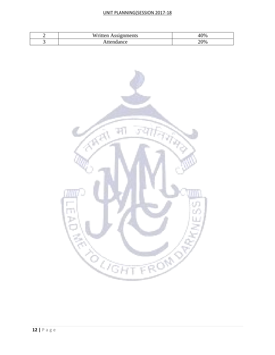### UNIT PLANNING(SESSION 2017-18

| Written<br><b>Assignments</b> | 10% |
|-------------------------------|-----|
| °ce<br>тгρ<br>ян              | 20% |

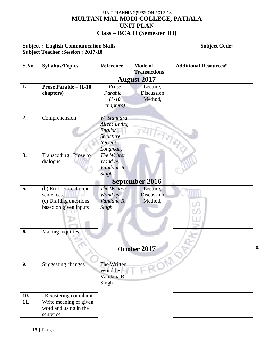### UNIT PLANNING(SESSION 2017-18 **MULTANI MAL MODI COLLEGE, PATIALA UNIT PLAN Class – BCA II (Semester III)**

### **Subject : English Communication Skills <b>Subject Code: Subject Code: Subject Code: Subject Teacher :Session : 2017-18**

| S.No.      | <b>Syllabus/Topics</b>                                                                   | <b>Reference</b>                                                                   | Mode of<br><b>Transactions</b>    | <b>Additional Resources*</b> |    |  |  |
|------------|------------------------------------------------------------------------------------------|------------------------------------------------------------------------------------|-----------------------------------|------------------------------|----|--|--|
|            | <b>August 2017</b>                                                                       |                                                                                    |                                   |                              |    |  |  |
| 1.         | <b>Prose Parable – <math>(1-10)</math></b><br>chapters)                                  | Prose<br>$Parable -$<br>$(1-10^{-1})$<br><i>chapters</i> )                         | Lecture,<br>Discussion<br>Method, |                              |    |  |  |
| 2.         | Comprehension                                                                            | W. Standard<br>Allen: Living<br>English<br><b>Structure</b><br>(Orient<br>Longman) |                                   |                              |    |  |  |
| 3.         | Transcoding: Prose to<br>dialogue                                                        | The Written<br>Wond by<br>Vandana R.<br>Singh                                      |                                   |                              |    |  |  |
|            | <b>September 2016</b>                                                                    |                                                                                    |                                   |                              |    |  |  |
| 5.         | (b) Error correction in<br>sentences.<br>(c) Drafting questions<br>based on given inputs | The Written<br>Wond by<br>Vandana R.<br>Singh                                      | Lecture,<br>Discussion<br>Method, | 97                           |    |  |  |
| 6.         | Making inquiries                                                                         |                                                                                    |                                   |                              |    |  |  |
|            |                                                                                          |                                                                                    | October 2017                      |                              | 8. |  |  |
| 9.         | <b>Suggesting changes</b>                                                                | The Written<br>Wond by<br>Vandana R.<br>Singh                                      | FROM                              |                              |    |  |  |
| 10.<br>11. | . Registering complaints<br>Write meaning of given<br>word and using in the<br>sentence  |                                                                                    |                                   |                              |    |  |  |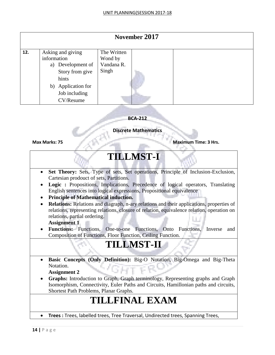|     | November 2017                                                                                                                         |                                               |  |  |  |
|-----|---------------------------------------------------------------------------------------------------------------------------------------|-----------------------------------------------|--|--|--|
| 12. | Asking and giving<br>information<br>a) Development of<br>Story from give<br>hints<br>b) Application for<br>Job including<br>CV/Resume | The Written<br>Wond by<br>Vandana R.<br>Singh |  |  |  |

### **Discrete Mathematics**

**Max Marks: 75 Maximum Time: 3 Hrs.**

## **TILLMST-I**

- **Set Theory:** Sets, Type of sets, Set operations, Principle of Inclusion-Exclusion, Cartesian prodouct of sets, Partitions.
- **Logic :** Propositions, Implications, Precedence of logical operators, Translating English sentences into logical expressions, Propositional equivalence
- **Principle of Mathematical induction.**
- **Relations:** Relations and diagraph, n-ary relations and their applications, properties of relations, representing relations, closure of relation, equivalence relation, operation on relations, partial ordering.

### **Assignment 1**

 **Functions:** Functions, One-to-one Functions, Onto Functions, Inverse and Composition of Functions, Floor Function, Ceiling Function.

## **TILLMST-II**

- **Basic Concepts (Only Definition):** Big-O Notation, Big-Omega and Big-Theta Notation.
	- **Assignment 2**
- **Graphs:** Introduction to Graph, Graph terminology, Representing graphs and Graph Isomorphism, Connectivity, Euler Paths and Circuits, Hamillonian paths and circuits, Shortest Path Problems, Planar Graphs.

## **TILLFINAL EXAM**

**Trees :** Trees, labelled trees, Tree Traversal, Undirected trees, Spanning Trees,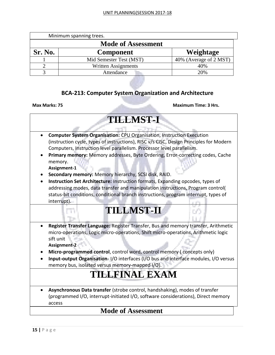|                | Minimum spanning trees.    |                        |
|----------------|----------------------------|------------------------|
|                | <b>Mode of Assessment</b>  |                        |
| <b>Sr. No.</b> | <b>Component</b>           | Weightage              |
|                | Mid Semester Test (MST)    | 40% (Average of 2 MST) |
|                | <b>Written Assignments</b> | 40%                    |
|                | Attendance                 | 20%                    |

### **BCA-213: Computer System Organization and Architecture**

**Max Marks: 75 Maximum Time: 3 Hrs.** 

| $\bullet$ | <b>Computer System Organisation: CPU Organisation, Instruction Execution</b><br>(instruction cycle, types of instructions), RISC v/s CISC, Design Principles for Modern                                                                                                 |
|-----------|-------------------------------------------------------------------------------------------------------------------------------------------------------------------------------------------------------------------------------------------------------------------------|
|           | Computers, Instruction level parallelism. Processor level parallelism.                                                                                                                                                                                                  |
|           | Primary memory: Memory addresses, Byte Ordering, Error-correcting codes, Cache<br>memory.<br>Assignment-1                                                                                                                                                               |
|           | Secondary memory: Memory hierarchy, SCSI disk, RAID.                                                                                                                                                                                                                    |
|           | Instruction Set Architecture: Instruction formats, Expanding opcodes, types of<br>addressing modes, data transfer and manipulation instructions, Program control(<br>status-bit conditions, conditional branch instructions, program interrupt, types of<br>interrupt). |
|           | <b>TILLMST-II</b>                                                                                                                                                                                                                                                       |
|           | Register Transfer Language: Register Transfer, Bus and memory transfer, Arithmetic<br>micro-operations, Logic micro-operations, Shift micro-operations, Arithmetic logic<br>sift unit                                                                                   |
|           | Assignment-2                                                                                                                                                                                                                                                            |
|           | Micro-programmed control, control word, control memory (concepts only)                                                                                                                                                                                                  |
|           | Input-output Organisation-I/O interfaces (I/O bus and interface modules, I/O versus<br>memory bus, isolated versus memory-mapped I/O).                                                                                                                                  |
|           | <b>TILLFINAL EXAM</b>                                                                                                                                                                                                                                                   |
|           | Asynchronous Data transfer (strobe control, handshaking), modes of transfer                                                                                                                                                                                             |
|           | (programmed I/O, interrupt-initiated I/O, software considerations), Direct memory<br>access                                                                                                                                                                             |

### **Mode of Assessment**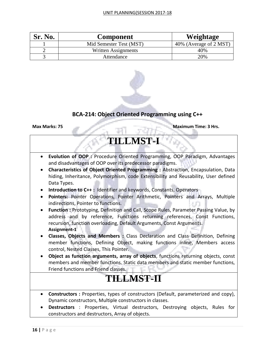| <b>Sr. No.</b> | Component               | Weightage              |
|----------------|-------------------------|------------------------|
|                | Mid Semester Test (MST) | 40% (Average of 2 MST) |
|                | Written Assignments     | 40%                    |
|                | Attendance              | 20%                    |



### **BCA-214: Object Oriented Programming using C++**

**Max Marks: 75 Maximum Time: 3 Hrs.**

## **TILLMST-I**

- **Evolution of OOP :** Procedure Oriented Programming, OOP Paradigm, Advantages and disadvantages of OOP over its predecessor paradigms.
- **Characteristics of Object Oriented Programming :** Abstraction, Encapsulation, Data hiding, Inheritance, Polymorphism, code Extensibility and Reusability, User defined Data Types.
- **Introduction to C++:** Identifier and keywords, Constants, Operators
- **Pointers:** Pointer Operations, Pointer Arithmetic, Pointers and Arrays, Multiple indirections, Pointer to functions. 65 F.H
- **Function :** Prototyping, Definition and Call, Scope Rules, Parameter Passing Value, by address and by reference, Functions returning references, Const Functions, recursion, function overloading, Default Arguments, Const Arguments. **Assignment-1**
- **Classes, Objects and Members :** Class Declaration and Class Definition, Defining member functions, Defining Object, making functions inline, Members access control, Nested Classes, This Pointer.
- **Object as function arguments, array of objects**, functions returning objects, const members and member functions. Static data members and static member functions, Friend functions and Friend classes.

## **TILLMST-II**

- **Constructors :** Properties, types of constructors (Default, parameterized and copy), Dynamic constructors, Multiple constructors in classes.
- **Destructors** : Properties, Virtual destructors, Destroying objects, Rules for constructors and destructors, Array of objects.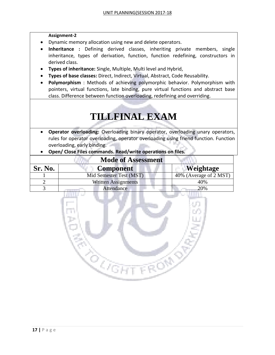### **Assignment-2**

- Dynamic memory allocation using new and delete operators.
- **Inheritance :** Defining derived classes, inheriting private members, single inheritance, types of derivation, function, function redefining, constructors in derived class.
- **Types of inheritance:** Single, Multiple, Multi level and Hybrid,
- **Types of base classes:** Direct, Indirect, Virtual, Abstract, Code Reusability.
- **Polymorphism** : Methods of achieving polymorphic behavior. Polymorphism with pointers, virtual functions, late binding, pure virtual functions and abstract base class. Difference between function overloading, redefining and overriding.

## **TILLFINAL EXAM**

- **Operator overloading:** Overloading binary operator, overloading unary operators, rules for operator overloading, operator overloading using friend function. Function overloading, early binding.
- **Open/ Close Files commands. Read/write operations on files.**

|         | <b>Mode of Assessment</b>  |                        |
|---------|----------------------------|------------------------|
| Sr. No. | <b>Component</b>           | Weightage              |
|         | Mid Semester Test (MST)    | 40% (Average of 2 MST) |
|         | <b>Written Assignments</b> | 40%                    |
|         | Attendance                 | 20%                    |

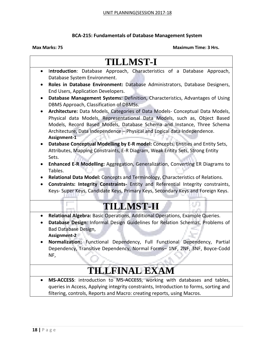### **BCA-215: Fundamentals of Database Management System**

### **Max Marks: 75 Maximum Time: 3 Hrs.**

## **TILLMST-I**

- I**ntroduction**: Database Approach, Characteristics of a Database Approach, Database System Environment.
- **Roles in Database Environment:** Database Administrators, Database Designers, End Users, Application Developers.
- **Database Management Systems:** Definition, Characteristics, Advantages of Using DBMS Approach, Classification of DBMSs.
- **Architecture:** Data Models, Categories of Data Models- Conceptual Data Models, Physical data Models, Representational Data Models, such as, Object Based Models, Record Based Models, Database Schema and Instance, Three Schema Architecture, Data Independence – Physical and Logical data Independence. **Assignment-1**
- **Database Conceptual Modelling by E-R model:** Concepts, Entities and Entity Sets, Attributes, Mapping Constraints, E-R Diagram, Weak Entity Sets, Strong Entity Sets.
- **Enhanced E-R Modelling:** Aggregation, Generalization, Converting ER Diagrams to Tables.
- **Relational Data Model:** Concepts and Terminology, Characteristics of Relations.
- **Constraints: Integrity Constraints-** Entity and Referential Integrity constraints, Keys- Super Keys, Candidate Keys, Primary Keys, Secondary Keys and Foreign Keys.

## **TILLMST-II**

- **Relational Algebra:** Basic Operations, Additional Operations, Example Queries.
- **Database Design**: Informal Design Guidelines for Relation Schemas, Problems of Bad Database Design, **Assignment-2**
- **Normalization:** Functional Dependency, Full Functional Dependency, Partial Dependency, Transitive Dependency, Normal Forms– 1NF, 2NF, 3NF, Boyce-Codd NF,

## **TILLFINAL EXAM**

 **MS-ACCESS**: introduction to MS-ACCESS, working with databases and tables, queries in Access, Applying integrity constraints, Introduction to forms, sorting and filtering, controls, Reports and Macro: creating reports, using Macros.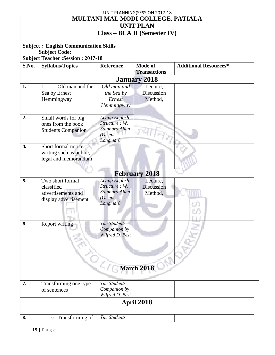|                  |                                              |                       | UNIT PLANNING(SESSION 2017-18       |                              |  |  |
|------------------|----------------------------------------------|-----------------------|-------------------------------------|------------------------------|--|--|
|                  |                                              |                       | MULTANI MAL MODI COLLEGE, PATIALA   |                              |  |  |
|                  |                                              |                       | <b>UNIT PLAN</b>                    |                              |  |  |
|                  |                                              |                       |                                     |                              |  |  |
|                  |                                              |                       | <b>Class – BCA II (Semester IV)</b> |                              |  |  |
|                  |                                              |                       |                                     |                              |  |  |
|                  | <b>Subject: English Communication Skills</b> |                       |                                     |                              |  |  |
|                  | <b>Subject Code:</b>                         |                       |                                     |                              |  |  |
|                  | <b>Subject Teacher : Session : 2017-18</b>   |                       |                                     |                              |  |  |
| S.No.            | <b>Syllabus/Topics</b>                       | <b>Reference</b>      | <b>Mode of</b>                      | <b>Additional Resources*</b> |  |  |
|                  |                                              |                       | <b>Transactions</b>                 |                              |  |  |
|                  |                                              |                       | <b>January 2018</b>                 |                              |  |  |
| 1.               |                                              | Old man and           |                                     |                              |  |  |
|                  | Old man and the<br>1.                        |                       | Lecture,                            |                              |  |  |
|                  | Sea by Ernest                                | the Sea by            | Discussion                          |                              |  |  |
|                  | Hemmingway                                   | Ernest                | Method,                             |                              |  |  |
|                  |                                              | Hemmingway            |                                     |                              |  |  |
|                  |                                              |                       |                                     |                              |  |  |
| 2.               | Small words for big                          | Living English        |                                     |                              |  |  |
|                  | ones from the book                           | Structure: W.         |                                     |                              |  |  |
|                  | <b>Students Companion</b>                    | <b>Stannard Allen</b> |                                     |                              |  |  |
|                  |                                              | (Orient               |                                     |                              |  |  |
|                  |                                              | Longman)              |                                     |                              |  |  |
| $\overline{4}$ . | Short formal notice                          |                       |                                     |                              |  |  |
|                  | writing such as public,                      |                       |                                     |                              |  |  |
|                  | legal and memorandum                         |                       |                                     |                              |  |  |
|                  |                                              |                       |                                     |                              |  |  |
|                  |                                              |                       |                                     |                              |  |  |
|                  |                                              |                       | <b>February 2018</b>                |                              |  |  |
| 5.               | Two short formal                             | Living English        | Lecture,                            |                              |  |  |
|                  | classified                                   | Structure: W.         | <b>Discussion</b>                   |                              |  |  |
|                  | advertisements and                           | <b>Stannard Allen</b> | Method,                             |                              |  |  |
|                  | display advertisement                        | (Orient               |                                     |                              |  |  |
|                  |                                              | Longman)              |                                     |                              |  |  |
|                  |                                              |                       |                                     |                              |  |  |
|                  |                                              |                       |                                     |                              |  |  |
| 6.               | Report writing                               | The Students'         |                                     |                              |  |  |
|                  |                                              | Companion by          |                                     |                              |  |  |
|                  |                                              | Wilfred D. Best       |                                     |                              |  |  |
|                  |                                              |                       |                                     |                              |  |  |
|                  |                                              |                       |                                     |                              |  |  |
|                  |                                              |                       |                                     |                              |  |  |
|                  |                                              |                       |                                     |                              |  |  |
|                  |                                              |                       |                                     |                              |  |  |
|                  |                                              |                       | <b>March 2018</b>                   |                              |  |  |
|                  |                                              |                       |                                     |                              |  |  |
| 7.               | Transforming one type                        | The Students'         |                                     |                              |  |  |
|                  | of sentences                                 | Companion by          |                                     |                              |  |  |
|                  |                                              | Wilfred D. Best       |                                     |                              |  |  |
|                  |                                              |                       |                                     |                              |  |  |
|                  | <b>April 2018</b>                            |                       |                                     |                              |  |  |
|                  |                                              |                       |                                     |                              |  |  |
| 8.               | Transforming of<br>$\mathbf{c})$             | The Students'         |                                     |                              |  |  |

 $\overline{\phantom{a}}$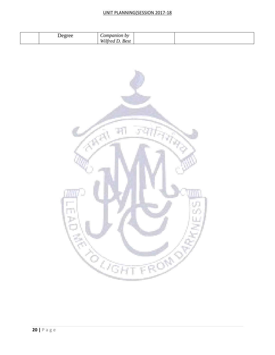### UNIT PLANNING(SESSION 2017-18

| ompanion by<br>)e oree<br>$\check{\phantom{a}}$<br>TTTIC<br><b>Best</b><br>$M$ .<br>77 L L |  |
|--------------------------------------------------------------------------------------------|--|
|--------------------------------------------------------------------------------------------|--|

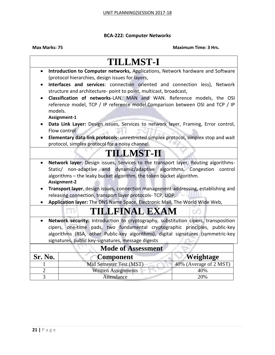### **BCA-222: Computer Networks**

|                | <b>TILLMST-I</b>                                                                                                                        |                        |  |  |  |
|----------------|-----------------------------------------------------------------------------------------------------------------------------------------|------------------------|--|--|--|
| $\bullet$      | Introduction to Computer networks, Applications, Network hardware and Software                                                          |                        |  |  |  |
|                | (protocol hierarchies, design issues for layers,                                                                                        |                        |  |  |  |
|                | interfaces and services: connection oriented and connection less), Network                                                              |                        |  |  |  |
|                | structure and architecture- point to point, multicast, broadcast,                                                                       |                        |  |  |  |
|                | Classification of networks-LAN, MAN and WAN. Reference models, the OSI                                                                  |                        |  |  |  |
|                | reference model, TCP / IP reference model.Comparison between OSI and TCP / IP                                                           |                        |  |  |  |
| models.        |                                                                                                                                         |                        |  |  |  |
|                | Assignment-1                                                                                                                            |                        |  |  |  |
|                | Data Link Layer: Design issues, Services to network layer, Framing, Error control,<br>Flow control                                      |                        |  |  |  |
|                |                                                                                                                                         |                        |  |  |  |
|                | Elementary data link protocols- unrestricted simplex protocol, simplex stop and wait<br>protocol, simplex protocol for a noisy channel. |                        |  |  |  |
|                |                                                                                                                                         |                        |  |  |  |
|                | <b>TILLMST-II</b>                                                                                                                       |                        |  |  |  |
|                | Network layer: Design issues, Services to the transport layer, Routing algorithms-                                                      |                        |  |  |  |
|                | Static/ non-adaptive and dynamic/adaptive algorithms. Congestion control                                                                |                        |  |  |  |
|                | algorithms - the leaky bucket algorithm, the token bucket algorithm.                                                                    |                        |  |  |  |
|                | Assignment-2                                                                                                                            |                        |  |  |  |
|                | Transport layer, design issues, connection management-addressing, establishing and                                                      |                        |  |  |  |
|                | releasing connection, transport layer protocols- TCP, UDP.                                                                              |                        |  |  |  |
|                | Application layer: The DNS Name Space, Electronic Mail, The World Wide Web,                                                             |                        |  |  |  |
|                | TILLFINAL EXAM                                                                                                                          |                        |  |  |  |
| $\bullet$      | Network security: Introduction to cryptography, substitution cipers, transposition                                                      |                        |  |  |  |
|                | cipers, one-time pads, two fundamental cryptographic principles, public-key                                                             |                        |  |  |  |
|                | algorithms (RSA, other Public-key algorithms), digital signatures (symmetric-key                                                        |                        |  |  |  |
|                | signatures, public key-signatures, message digests                                                                                      |                        |  |  |  |
|                | <b>Mode of Assessment</b>                                                                                                               |                        |  |  |  |
| Sr. No.        | <b>Component</b>                                                                                                                        | Weightage              |  |  |  |
|                | Mid Semester Test (MST)                                                                                                                 | 40% (Average of 2 MST) |  |  |  |
| $\overline{2}$ | <b>Written Assignments</b>                                                                                                              | 40%                    |  |  |  |
| 3              | Attendance                                                                                                                              | 20%                    |  |  |  |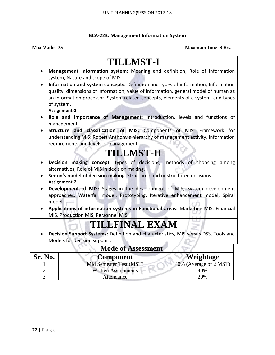### **BCA-223: Management Information System**

| $\bullet$                                                                           | Management Information system: Meaning and definition, Role of information               |                        |  |  |  |
|-------------------------------------------------------------------------------------|------------------------------------------------------------------------------------------|------------------------|--|--|--|
|                                                                                     |                                                                                          |                        |  |  |  |
|                                                                                     | system, Nature and scope of MIS.                                                         |                        |  |  |  |
|                                                                                     | Information and system concepts: Definition and types of information, Information        |                        |  |  |  |
|                                                                                     | quality, dimensions of information, value of information, general model of human as      |                        |  |  |  |
|                                                                                     | an information processor. System related concepts, elements of a system, and types       |                        |  |  |  |
|                                                                                     | of system.                                                                               |                        |  |  |  |
|                                                                                     | Assignment-1                                                                             |                        |  |  |  |
|                                                                                     | Role and importance of Management: Introduction, levels and functions of<br>management.  |                        |  |  |  |
|                                                                                     | Structure and classification of MIS, Components of MIS, Framework for                    |                        |  |  |  |
|                                                                                     | understanding MIS: Robert Anthony's hierarchy of management activity, Information        |                        |  |  |  |
|                                                                                     | requirements and levels of management.                                                   |                        |  |  |  |
|                                                                                     | <b>TILLMST-H</b>                                                                         |                        |  |  |  |
| Decision making concept, types of decisions, methods of choosing among<br>$\bullet$ |                                                                                          |                        |  |  |  |
|                                                                                     | alternatives, Role of MIS in decision making.                                            |                        |  |  |  |
|                                                                                     | Simon's model of decision making, Structured and unstructured decisions.<br>Assignment-2 |                        |  |  |  |
|                                                                                     | Development of MIS: Stages in the development of MIS, System development                 |                        |  |  |  |
|                                                                                     | approaches: Waterfall model, Prototyping, Iterative enhancement model, Spiral            |                        |  |  |  |
|                                                                                     | model.                                                                                   |                        |  |  |  |
|                                                                                     | Applications of information systems in Functional areas: Marketing MIS, Financial        |                        |  |  |  |
|                                                                                     | MIS, Production MIS, Personnel MIS.                                                      |                        |  |  |  |
|                                                                                     | TILLFINAL EXAM                                                                           |                        |  |  |  |
|                                                                                     | Decision Support Systems: Definition and characteristics, MIS versus DSS, Tools and      |                        |  |  |  |
|                                                                                     | Models for decision support.                                                             |                        |  |  |  |
|                                                                                     | <b>Mode of Assessment</b>                                                                |                        |  |  |  |
| Sr. No.                                                                             | <b>Component</b>                                                                         | Weightage              |  |  |  |
|                                                                                     | Mid Semester Test (MST)                                                                  | 40% (Average of 2 MST) |  |  |  |
| $\overline{2}$                                                                      | <b>Written Assignments</b>                                                               | 40%                    |  |  |  |
| 3                                                                                   | Attendance                                                                               | 20%                    |  |  |  |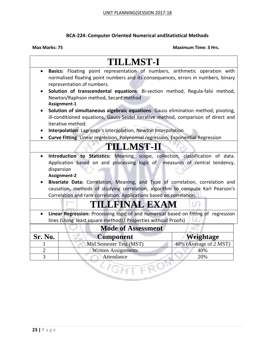### **BCA-224: Computer Oriented Numerical andStatistical Methods**

|                                                                                                                                                                                                                                                                                                                                                                                                                                                       | <b>TILLMST-I</b>                                                                                                                                                                               |                        |  |  |
|-------------------------------------------------------------------------------------------------------------------------------------------------------------------------------------------------------------------------------------------------------------------------------------------------------------------------------------------------------------------------------------------------------------------------------------------------------|------------------------------------------------------------------------------------------------------------------------------------------------------------------------------------------------|------------------------|--|--|
| $\bullet$                                                                                                                                                                                                                                                                                                                                                                                                                                             | Basics: Floating point representation of numbers, arithmetic operation with<br>normalised floating point numbers and its consequences, errors in numbers, binary<br>representation of numbers. |                        |  |  |
|                                                                                                                                                                                                                                                                                                                                                                                                                                                       | Solution of transcendental equations: Bi-section method, Regula-falsi method,<br>Newton/Raphson method, Secant method<br>Assignment-1                                                          |                        |  |  |
|                                                                                                                                                                                                                                                                                                                                                                                                                                                       | Solution of simultaneous algebraic equations: Gauss elimination method, pivoting,<br>ill-conditioned equations, Gauss-Seidel iterative method, comparison of direct and<br>iterative method.   |                        |  |  |
|                                                                                                                                                                                                                                                                                                                                                                                                                                                       | Interpolation: Lagrange's interpolation, Newton Interpolation<br>Curve Fitting: Linear regression, Polynomial regression, Exponential Regression                                               |                        |  |  |
|                                                                                                                                                                                                                                                                                                                                                                                                                                                       | <b>TILLMST-II</b>                                                                                                                                                                              |                        |  |  |
| Introduction to Statistics: Meaning, scope, collection, classification of data.<br>$\bullet$<br>Application based on and processing logic of measures of central tendency,<br>dispersion<br>Assignment-2<br>Bivariate Data: Correlation, Meaning, and Type of correlation, correlation and<br>causation, methods of studying correlation, algorithm to compute Karl Pearson's<br>Correlation and rank correlation. Applications based on correlation. |                                                                                                                                                                                                |                        |  |  |
|                                                                                                                                                                                                                                                                                                                                                                                                                                                       | TILLFINAL EXAM                                                                                                                                                                                 |                        |  |  |
| Linear Regression: Processing logic of and numerical based on fitting of regression<br>lines (Using least square method). (Properties without Proofs)                                                                                                                                                                                                                                                                                                 |                                                                                                                                                                                                |                        |  |  |
|                                                                                                                                                                                                                                                                                                                                                                                                                                                       | <b>Mode of Assessment</b>                                                                                                                                                                      |                        |  |  |
| Sr. No.                                                                                                                                                                                                                                                                                                                                                                                                                                               | <b>Component</b>                                                                                                                                                                               | Weightage              |  |  |
|                                                                                                                                                                                                                                                                                                                                                                                                                                                       | Mid Semester Test (MST)                                                                                                                                                                        | 40% (Average of 2 MST) |  |  |
| $\overline{2}$<br>$\overline{3}$                                                                                                                                                                                                                                                                                                                                                                                                                      | <b>Written Assignments</b><br>Attendance                                                                                                                                                       | 40%<br>20%             |  |  |
|                                                                                                                                                                                                                                                                                                                                                                                                                                                       |                                                                                                                                                                                                |                        |  |  |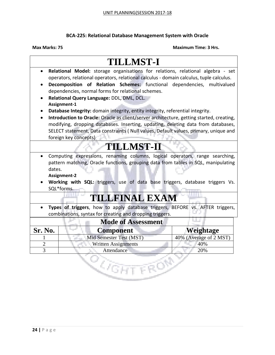### **BCA-225: Relational Database Management System with Oracle**

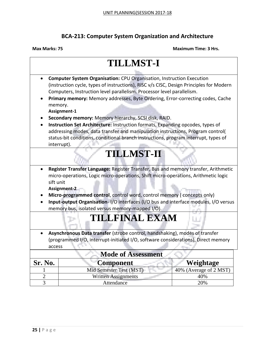### **BCA-213: Computer System Organization and Architecture**

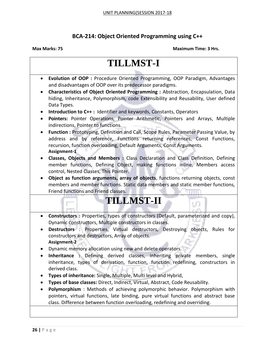### **BCA-214: Object Oriented Programming using C++**

| Evolution of OOP : Procedure Oriented Programming, OOP Paradigm, Advantages<br>$\bullet$<br>and disadvantages of OOP over its predecessor paradigms.<br>Characteristics of Object Oriented Programming : Abstraction, Encapsulation, Data<br>٠<br>hiding, Inheritance, Polymorphism, code Extensibility and Reusability, User defined<br>Data Types.<br>Introduction to C++: Identifier and keywords, Constants, Operators<br>Pointers: Pointer Operations, Pointer Arithmetic, Pointers and Arrays, Multiple<br>$\bullet$<br>indirections, Pointer to functions.<br>Function: Prototyping, Definition and Call, Scope Rules, Parameter Passing Value, by<br>address and by reference, Functions returning references, Const Functions,<br>recursion, function overloading, Default Arguments, Const Arguments.<br>Assignment-1<br>Classes, Objects and Members : Class Declaration and Class Definition, Defining<br>member functions, Defining Object, making functions inline, Members access<br>control, Nested Classes, This Pointer.<br>Object as function arguments, array of objects, functions returning objects, const<br>$\bullet$<br>members and member functions. Static data members and static member functions,<br>Friend functions and Friend classes.<br><b>TILLMST-II</b> |
|----------------------------------------------------------------------------------------------------------------------------------------------------------------------------------------------------------------------------------------------------------------------------------------------------------------------------------------------------------------------------------------------------------------------------------------------------------------------------------------------------------------------------------------------------------------------------------------------------------------------------------------------------------------------------------------------------------------------------------------------------------------------------------------------------------------------------------------------------------------------------------------------------------------------------------------------------------------------------------------------------------------------------------------------------------------------------------------------------------------------------------------------------------------------------------------------------------------------------------------------------------------------------------------------|
|                                                                                                                                                                                                                                                                                                                                                                                                                                                                                                                                                                                                                                                                                                                                                                                                                                                                                                                                                                                                                                                                                                                                                                                                                                                                                              |
|                                                                                                                                                                                                                                                                                                                                                                                                                                                                                                                                                                                                                                                                                                                                                                                                                                                                                                                                                                                                                                                                                                                                                                                                                                                                                              |
|                                                                                                                                                                                                                                                                                                                                                                                                                                                                                                                                                                                                                                                                                                                                                                                                                                                                                                                                                                                                                                                                                                                                                                                                                                                                                              |
|                                                                                                                                                                                                                                                                                                                                                                                                                                                                                                                                                                                                                                                                                                                                                                                                                                                                                                                                                                                                                                                                                                                                                                                                                                                                                              |
|                                                                                                                                                                                                                                                                                                                                                                                                                                                                                                                                                                                                                                                                                                                                                                                                                                                                                                                                                                                                                                                                                                                                                                                                                                                                                              |
|                                                                                                                                                                                                                                                                                                                                                                                                                                                                                                                                                                                                                                                                                                                                                                                                                                                                                                                                                                                                                                                                                                                                                                                                                                                                                              |
|                                                                                                                                                                                                                                                                                                                                                                                                                                                                                                                                                                                                                                                                                                                                                                                                                                                                                                                                                                                                                                                                                                                                                                                                                                                                                              |
|                                                                                                                                                                                                                                                                                                                                                                                                                                                                                                                                                                                                                                                                                                                                                                                                                                                                                                                                                                                                                                                                                                                                                                                                                                                                                              |
|                                                                                                                                                                                                                                                                                                                                                                                                                                                                                                                                                                                                                                                                                                                                                                                                                                                                                                                                                                                                                                                                                                                                                                                                                                                                                              |
|                                                                                                                                                                                                                                                                                                                                                                                                                                                                                                                                                                                                                                                                                                                                                                                                                                                                                                                                                                                                                                                                                                                                                                                                                                                                                              |
|                                                                                                                                                                                                                                                                                                                                                                                                                                                                                                                                                                                                                                                                                                                                                                                                                                                                                                                                                                                                                                                                                                                                                                                                                                                                                              |
|                                                                                                                                                                                                                                                                                                                                                                                                                                                                                                                                                                                                                                                                                                                                                                                                                                                                                                                                                                                                                                                                                                                                                                                                                                                                                              |
|                                                                                                                                                                                                                                                                                                                                                                                                                                                                                                                                                                                                                                                                                                                                                                                                                                                                                                                                                                                                                                                                                                                                                                                                                                                                                              |
|                                                                                                                                                                                                                                                                                                                                                                                                                                                                                                                                                                                                                                                                                                                                                                                                                                                                                                                                                                                                                                                                                                                                                                                                                                                                                              |
| Constructors : Properties, types of constructors (Default, parameterized and copy),<br>$\bullet$                                                                                                                                                                                                                                                                                                                                                                                                                                                                                                                                                                                                                                                                                                                                                                                                                                                                                                                                                                                                                                                                                                                                                                                             |
| Dynamic constructors, Multiple constructors in classes.                                                                                                                                                                                                                                                                                                                                                                                                                                                                                                                                                                                                                                                                                                                                                                                                                                                                                                                                                                                                                                                                                                                                                                                                                                      |
| Destructors : Properties, Virtual destructors, Destroying objects, Rules for<br>constructors and destructors, Array of objects.                                                                                                                                                                                                                                                                                                                                                                                                                                                                                                                                                                                                                                                                                                                                                                                                                                                                                                                                                                                                                                                                                                                                                              |
| Assignment-2                                                                                                                                                                                                                                                                                                                                                                                                                                                                                                                                                                                                                                                                                                                                                                                                                                                                                                                                                                                                                                                                                                                                                                                                                                                                                 |
| Dynamic memory allocation using new and delete operators.                                                                                                                                                                                                                                                                                                                                                                                                                                                                                                                                                                                                                                                                                                                                                                                                                                                                                                                                                                                                                                                                                                                                                                                                                                    |
| Inheritance : Defining derived classes, inheriting private<br>members,<br>single                                                                                                                                                                                                                                                                                                                                                                                                                                                                                                                                                                                                                                                                                                                                                                                                                                                                                                                                                                                                                                                                                                                                                                                                             |
| inheritance, types of derivation, function, function redefining, constructors in                                                                                                                                                                                                                                                                                                                                                                                                                                                                                                                                                                                                                                                                                                                                                                                                                                                                                                                                                                                                                                                                                                                                                                                                             |
| derived class.                                                                                                                                                                                                                                                                                                                                                                                                                                                                                                                                                                                                                                                                                                                                                                                                                                                                                                                                                                                                                                                                                                                                                                                                                                                                               |
| Types of inheritance: Single, Multiple, Multi level and Hybrid,                                                                                                                                                                                                                                                                                                                                                                                                                                                                                                                                                                                                                                                                                                                                                                                                                                                                                                                                                                                                                                                                                                                                                                                                                              |
| Types of base classes: Direct, Indirect, Virtual, Abstract, Code Reusability.                                                                                                                                                                                                                                                                                                                                                                                                                                                                                                                                                                                                                                                                                                                                                                                                                                                                                                                                                                                                                                                                                                                                                                                                                |
| Polymorphism: Methods of achieving polymorphic behavior. Polymorphism with                                                                                                                                                                                                                                                                                                                                                                                                                                                                                                                                                                                                                                                                                                                                                                                                                                                                                                                                                                                                                                                                                                                                                                                                                   |
| pointers, virtual functions, late binding, pure virtual functions and abstract base<br>class. Difference between function overloading, redefining and overriding.                                                                                                                                                                                                                                                                                                                                                                                                                                                                                                                                                                                                                                                                                                                                                                                                                                                                                                                                                                                                                                                                                                                            |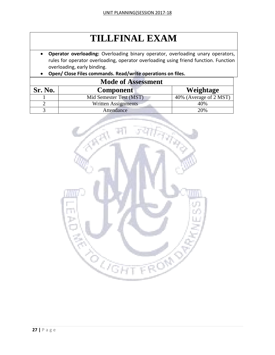## **TILLFINAL EXAM**

- **Operator overloading:** Overloading binary operator, overloading unary operators, rules for operator overloading, operator overloading using friend function. Function overloading, early binding.
- **Open/ Close Files commands. Read/write operations on files.**

| <b>Mode of Assessment</b> |                         |                        |  |
|---------------------------|-------------------------|------------------------|--|
| <b>Sr. No.</b>            | <b>Component</b>        | Weightage              |  |
|                           | Mid Semester Test (MST) | 40% (Average of 2 MST) |  |
|                           | Written Assignments     | 40%                    |  |
|                           | Attendance              | 20%                    |  |

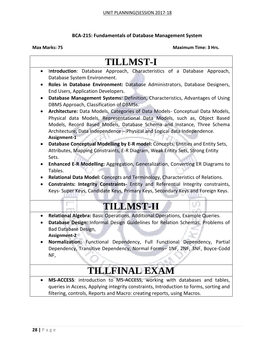### **BCA-215: Fundamentals of Database Management System**

### **Max Marks: 75 Maximum Time: 3 Hrs.**

## **TILLMST-I**

- I**ntroduction**: Database Approach, Characteristics of a Database Approach, Database System Environment.
- **Roles in Database Environment:** Database Administrators, Database Designers, End Users, Application Developers.
- **Database Management Systems:** Definition, Characteristics, Advantages of Using DBMS Approach, Classification of DBMSs.
- **Architecture:** Data Models, Categories of Data Models- Conceptual Data Models, Physical data Models, Representational Data Models, such as, Object Based Models, Record Based Models, Database Schema and Instance, Three Schema Architecture, Data Independence – Physical and Logical data Independence. **Assignment-1**
- **Database Conceptual Modelling by E-R model:** Concepts, Entities and Entity Sets, Attributes, Mapping Constraints, E-R Diagram, Weak Entity Sets, Strong Entity Sets.
- **Enhanced E-R Modelling:** Aggregation, Generalization, Converting ER Diagrams to Tables.
- **Relational Data Model:** Concepts and Terminology, Characteristics of Relations.
- **Constraints: Integrity Constraints-** Entity and Referential Integrity constraints, Keys- Super Keys, Candidate Keys, Primary Keys, Secondary Keys and Foreign Keys.

## **TILLMST-II**

- **Relational Algebra:** Basic Operations, Additional Operations, Example Queries.
- **Database Design**: Informal Design Guidelines for Relation Schemas, Problems of Bad Database Design, **Assignment-2**
- **Normalization:** Functional Dependency, Full Functional Dependency, Partial Dependency, Transitive Dependency, Normal Forms– 1NF, 2NF, 3NF, Boyce-Codd NF,

## **TILLFINAL EXAM**

 **MS-ACCESS**: introduction to MS-ACCESS, working with databases and tables, queries in Access, Applying integrity constraints, Introduction to forms, sorting and filtering, controls, Reports and Macro: creating reports, using Macros.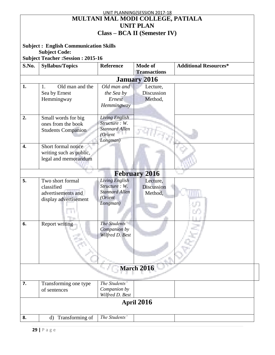|                  |                                              |                       | UNIT PLANNING(SESSION 2017-18       |                              |
|------------------|----------------------------------------------|-----------------------|-------------------------------------|------------------------------|
|                  |                                              |                       | MULTANI MAL MODI COLLEGE, PATIALA   |                              |
|                  |                                              |                       | <b>UNIT PLAN</b>                    |                              |
|                  |                                              |                       |                                     |                              |
|                  |                                              |                       | <b>Class – BCA II (Semester IV)</b> |                              |
|                  |                                              |                       |                                     |                              |
|                  | <b>Subject: English Communication Skills</b> |                       |                                     |                              |
|                  | <b>Subject Code:</b>                         |                       |                                     |                              |
|                  | <b>Subject Teacher : Session : 2015-16</b>   |                       |                                     |                              |
| S.No.            | <b>Syllabus/Topics</b>                       | <b>Reference</b>      | <b>Mode of</b>                      | <b>Additional Resources*</b> |
|                  |                                              |                       | <b>Transactions</b>                 |                              |
|                  |                                              |                       | <b>January 2016</b>                 |                              |
| 1.               | Old man and the<br>1.                        | Old man and           | Lecture,                            |                              |
|                  |                                              |                       | Discussion                          |                              |
|                  | Sea by Ernest                                | the Sea by            |                                     |                              |
|                  | Hemmingway                                   | Ernest                | Method,                             |                              |
|                  |                                              | Hemmingway            |                                     |                              |
|                  |                                              |                       |                                     |                              |
| 2.               | Small words for big                          | Living English        |                                     |                              |
|                  | ones from the book                           | Structure: W.         |                                     |                              |
|                  | <b>Students Companion</b>                    | <b>Stannard Allen</b> |                                     |                              |
|                  |                                              | (Orient               |                                     |                              |
| $\overline{4}$ . | Short formal notice                          | Longman)              |                                     |                              |
|                  |                                              |                       |                                     |                              |
|                  | writing such as public,                      |                       |                                     |                              |
|                  | legal and memorandum                         |                       |                                     |                              |
|                  |                                              |                       |                                     |                              |
|                  |                                              |                       | <b>February 2016</b>                |                              |
| 5.               | Two short formal                             | Living English        | Lecture,                            |                              |
|                  | classified                                   | Structure: W.         | <b>Discussion</b>                   |                              |
|                  | advertisements and                           | <b>Stannard Allen</b> | Method,                             |                              |
|                  | display advertisement                        | (Orient               |                                     |                              |
|                  |                                              | Longman)              |                                     |                              |
|                  |                                              |                       |                                     |                              |
|                  |                                              |                       |                                     |                              |
| 6.               | Report writing                               | The Students'         |                                     |                              |
|                  |                                              | Companion by          |                                     |                              |
|                  |                                              | Wilfred D. Best       |                                     |                              |
|                  |                                              |                       |                                     |                              |
|                  |                                              |                       |                                     |                              |
|                  |                                              |                       |                                     |                              |
|                  |                                              |                       |                                     |                              |
|                  |                                              |                       |                                     |                              |
|                  |                                              |                       | <b>March 2016</b>                   |                              |
|                  |                                              |                       |                                     |                              |
| 7.               | Transforming one type                        | The Students'         |                                     |                              |
|                  | of sentences                                 | Companion by          |                                     |                              |
|                  |                                              | Wilfred D. Best       |                                     |                              |
|                  |                                              |                       |                                     |                              |
|                  |                                              |                       | April 2016                          |                              |
|                  |                                              |                       |                                     |                              |
| 8.               | Transforming of<br>d)                        | The Students'         |                                     |                              |

 $\overline{\phantom{a}}$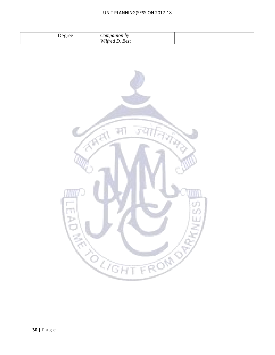### UNIT PLANNING(SESSION 2017-18

| ompanion by<br>)e oree<br>$\tilde{\phantom{a}}$<br>TTTIC<br><b>Best</b><br>$M$ .<br>77 L L |  |
|--------------------------------------------------------------------------------------------|--|
|--------------------------------------------------------------------------------------------|--|

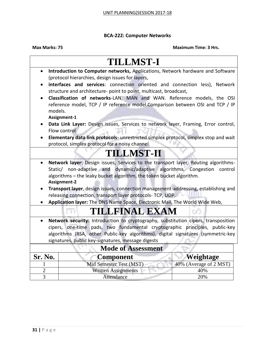### **BCA-222: Computer Networks**

|                                                                                                 | <b>TILLMST-I</b>                                                                                   |                        |  |  |
|-------------------------------------------------------------------------------------------------|----------------------------------------------------------------------------------------------------|------------------------|--|--|
| $\bullet$                                                                                       | Introduction to Computer networks, Applications, Network hardware and Software                     |                        |  |  |
|                                                                                                 | (protocol hierarchies, design issues for layers,                                                   |                        |  |  |
|                                                                                                 | interfaces and services: connection oriented and connection less), Network                         |                        |  |  |
|                                                                                                 | structure and architecture- point to point, multicast, broadcast,                                  |                        |  |  |
|                                                                                                 | Classification of networks-LAN, MAN and WAN. Reference models, the OSI                             |                        |  |  |
|                                                                                                 | reference model, TCP / IP reference model.Comparison between OSI and TCP / IP                      |                        |  |  |
| models.                                                                                         |                                                                                                    |                        |  |  |
|                                                                                                 | Assignment-1                                                                                       |                        |  |  |
|                                                                                                 | Data Link Layer: Design issues, Services to network layer, Framing, Error control,<br>Flow control |                        |  |  |
|                                                                                                 | Elementary data link protocols- unrestricted simplex protocol, simplex stop and wait               |                        |  |  |
|                                                                                                 | protocol, simplex protocol for a noisy channel.                                                    |                        |  |  |
|                                                                                                 |                                                                                                    |                        |  |  |
|                                                                                                 | <b>TILLMST-II</b>                                                                                  |                        |  |  |
|                                                                                                 | Network layer: Design issues, Services to the transport layer, Routing algorithms-                 |                        |  |  |
|                                                                                                 | Static/ non-adaptive and dynamic/adaptive algorithms. Congestion                                   | control                |  |  |
|                                                                                                 | algorithms - the leaky bucket algorithm, the token bucket algorithm.                               |                        |  |  |
|                                                                                                 | Assignment-2                                                                                       |                        |  |  |
|                                                                                                 | Transport layer, design issues, connection management-addressing, establishing and                 |                        |  |  |
|                                                                                                 | releasing connection, transport layer protocols- TCP, UDP.                                         |                        |  |  |
| Application layer: The DNS Name Space, Electronic Mail, The World Wide Web,                     |                                                                                                    |                        |  |  |
|                                                                                                 | TILLFINAL EXAM                                                                                     |                        |  |  |
| Network security: Introduction to cryptography, substitution cipers, transposition<br>$\bullet$ |                                                                                                    |                        |  |  |
| cipers, one-time pads, two fundamental cryptographic principles, public-key                     |                                                                                                    |                        |  |  |
| algorithms (RSA, other Public-key algorithms), digital signatures (symmetric-key                |                                                                                                    |                        |  |  |
| signatures, public key-signatures, message digests                                              |                                                                                                    |                        |  |  |
| <b>Mode of Assessment</b>                                                                       |                                                                                                    |                        |  |  |
| Sr. No.                                                                                         | <b>Component</b>                                                                                   | Weightage              |  |  |
|                                                                                                 | Mid Semester Test (MST)                                                                            | 40% (Average of 2 MST) |  |  |
| $\overline{2}$                                                                                  | <b>Written Assignments</b>                                                                         | 40%                    |  |  |
| 3                                                                                               | Attendance                                                                                         | 20%                    |  |  |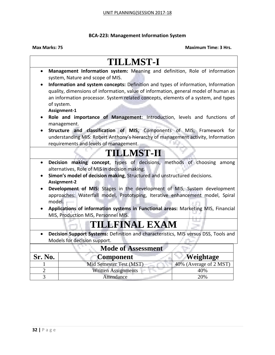### **BCA-223: Management Information System**

|                | <b>TILLMST-I</b>                                                                                                        |                        |
|----------------|-------------------------------------------------------------------------------------------------------------------------|------------------------|
| $\bullet$      | Management Information system: Meaning and definition, Role of information                                              |                        |
|                | system, Nature and scope of MIS.                                                                                        |                        |
|                | Information and system concepts: Definition and types of information, Information                                       |                        |
|                | quality, dimensions of information, value of information, general model of human as                                     |                        |
|                | an information processor. System related concepts, elements of a system, and types                                      |                        |
|                | of system.                                                                                                              |                        |
|                | Assignment-1                                                                                                            |                        |
|                | Role and importance of Management: Introduction, levels and functions of                                                |                        |
|                | management.                                                                                                             |                        |
|                | Structure and classification of MIS, Components of MIS, Framework for                                                   |                        |
|                | understanding MIS: Robert Anthony's hierarchy of management activity, Information                                       |                        |
|                | requirements and levels of management.                                                                                  |                        |
|                | <b>TILLMST-H</b>                                                                                                        |                        |
|                |                                                                                                                         |                        |
| $\bullet$      | Decision making concept, types of decisions, methods of choosing among<br>alternatives, Role of MIS in decision making. |                        |
|                | Simon's model of decision making, Structured and unstructured decisions.<br><b>Assignment-2</b>                         |                        |
|                | Development of MIS: Stages in the development of MIS, System development                                                |                        |
|                | approaches: Waterfall model, Prototyping, Iterative enhancement model, Spiral                                           |                        |
| model.         |                                                                                                                         |                        |
|                | Applications of information systems in Functional areas: Marketing MIS, Financial                                       |                        |
|                | MIS, Production MIS, Personnel MIS.                                                                                     |                        |
|                |                                                                                                                         |                        |
|                | TILLFINAL EXAM                                                                                                          |                        |
|                | Decision Support Systems: Definition and characteristics, MIS versus DSS, Tools and                                     |                        |
|                | Models for decision support.                                                                                            |                        |
|                | <b>Mode of Assessment</b>                                                                                               |                        |
| Sr. No.        | <b>Component</b>                                                                                                        | Weightage              |
|                | Mid Semester Test (MST)                                                                                                 | 40% (Average of 2 MST) |
| $\overline{2}$ | <b>Written Assignments</b>                                                                                              | 40%                    |
| 3              | Attendance                                                                                                              | 20%                    |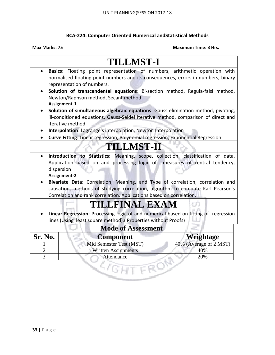### **BCA-224: Computer Oriented Numerical andStatistical Methods**

|                                                                                                                                                                                                                                                                                                                                                                                                                                                       | <b>TILLMST-I</b>                                                                                                                                                                               |                        |  |  |
|-------------------------------------------------------------------------------------------------------------------------------------------------------------------------------------------------------------------------------------------------------------------------------------------------------------------------------------------------------------------------------------------------------------------------------------------------------|------------------------------------------------------------------------------------------------------------------------------------------------------------------------------------------------|------------------------|--|--|
| $\bullet$                                                                                                                                                                                                                                                                                                                                                                                                                                             | Basics: Floating point representation of numbers, arithmetic operation with<br>normalised floating point numbers and its consequences, errors in numbers, binary<br>representation of numbers. |                        |  |  |
|                                                                                                                                                                                                                                                                                                                                                                                                                                                       | Solution of transcendental equations: Bi-section method, Regula-falsi method,<br>Newton/Raphson method, Secant method<br>Assignment-1                                                          |                        |  |  |
|                                                                                                                                                                                                                                                                                                                                                                                                                                                       | Solution of simultaneous algebraic equations: Gauss elimination method, pivoting,<br>ill-conditioned equations, Gauss-Seidel iterative method, comparison of direct and<br>iterative method.   |                        |  |  |
|                                                                                                                                                                                                                                                                                                                                                                                                                                                       | Interpolation: Lagrange's interpolation, Newton Interpolation<br>Curve Fitting: Linear regression, Polynomial regression, Exponential Regression                                               |                        |  |  |
|                                                                                                                                                                                                                                                                                                                                                                                                                                                       | <b>TILLMST-II</b>                                                                                                                                                                              |                        |  |  |
|                                                                                                                                                                                                                                                                                                                                                                                                                                                       |                                                                                                                                                                                                |                        |  |  |
| Introduction to Statistics: Meaning, scope, collection, classification of data.<br>$\bullet$<br>Application based on and processing logic of measures of central tendency,<br>dispersion<br>Assignment-2<br>Bivariate Data: Correlation, Meaning, and Type of correlation, correlation and<br>causation, methods of studying correlation, algorithm to compute Karl Pearson's<br>Correlation and rank correlation. Applications based on correlation. |                                                                                                                                                                                                |                        |  |  |
|                                                                                                                                                                                                                                                                                                                                                                                                                                                       | TILLFINAL EXAM                                                                                                                                                                                 |                        |  |  |
| Linear Regression: Processing logic of and numerical based on fitting of regression<br>lines (Using least square method). (Properties without Proofs)                                                                                                                                                                                                                                                                                                 |                                                                                                                                                                                                |                        |  |  |
| <b>Mode of Assessment</b>                                                                                                                                                                                                                                                                                                                                                                                                                             |                                                                                                                                                                                                |                        |  |  |
| Sr. No.                                                                                                                                                                                                                                                                                                                                                                                                                                               | <b>Component</b>                                                                                                                                                                               | Weightage              |  |  |
|                                                                                                                                                                                                                                                                                                                                                                                                                                                       | Mid Semester Test (MST)                                                                                                                                                                        | 40% (Average of 2 MST) |  |  |
| $\overline{2}$                                                                                                                                                                                                                                                                                                                                                                                                                                        | <b>Written Assignments</b>                                                                                                                                                                     | 40%                    |  |  |
| $\overline{3}$                                                                                                                                                                                                                                                                                                                                                                                                                                        | Attendance                                                                                                                                                                                     | 20%                    |  |  |
|                                                                                                                                                                                                                                                                                                                                                                                                                                                       |                                                                                                                                                                                                |                        |  |  |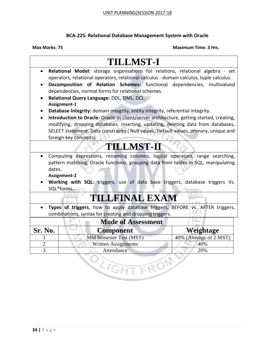### **BCA-225: Relational Database Management System with Oracle**

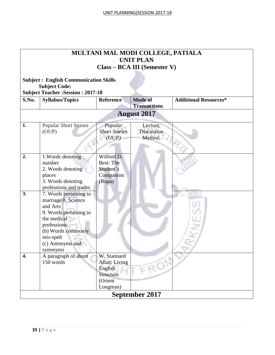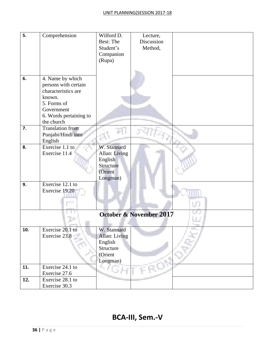| 5.  | Comprehension          | Wilford D.    | Lecture,                           |  |
|-----|------------------------|---------------|------------------------------------|--|
|     |                        | Best: The     | Discussion                         |  |
|     |                        | Student's     | Method,                            |  |
|     |                        |               |                                    |  |
|     |                        | Companion     |                                    |  |
|     |                        | (Rupa)        |                                    |  |
|     |                        |               |                                    |  |
|     |                        |               |                                    |  |
| 6.  | 4. Name by which       |               |                                    |  |
|     | persons with certain   |               |                                    |  |
|     | characteristics are    |               |                                    |  |
|     | known.                 |               |                                    |  |
|     | 5. Forms of            |               |                                    |  |
|     | Government             |               |                                    |  |
|     | 6. Words pertaining to |               |                                    |  |
|     | the church             |               |                                    |  |
| 7.  | Translation from       |               |                                    |  |
|     | Punjabi/Hindi into     |               |                                    |  |
|     | English                |               |                                    |  |
| 8.  | Exercise 1.1 to        | W. Stannard   |                                    |  |
|     | Exercise 11.4          | Allan: Living |                                    |  |
|     |                        | English       |                                    |  |
|     |                        | Structure     |                                    |  |
|     |                        | (Orient       |                                    |  |
|     |                        | Longman)      |                                    |  |
| 9.  | Exercise 12.1 to       |               |                                    |  |
|     | Exercise 19.20         |               |                                    |  |
|     |                        |               |                                    |  |
|     |                        |               |                                    |  |
|     |                        |               |                                    |  |
|     |                        |               | <b>October &amp; November 2017</b> |  |
|     |                        |               |                                    |  |
| 10. | Exercise 20.1 to       | W. Stannard   |                                    |  |
|     | Exercise 23.8          | Allan: Living |                                    |  |
|     |                        | English       |                                    |  |
|     |                        | Structure     |                                    |  |
|     |                        | (Orient       |                                    |  |
|     |                        | Longman)      |                                    |  |
| 11. | Exercise 24.1 to       | 4 F           |                                    |  |
|     | Exercise 27.6          |               |                                    |  |
| 12. | Exercise 28.1 to       |               |                                    |  |
|     | Exercise 30.3          |               |                                    |  |

## **BCA-III, Sem.-V**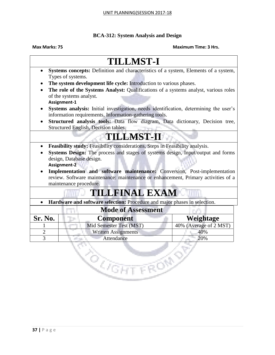### **BCA-312: System Analysis and Design**

### **Max Marks: 75 Maximum Time: 3 Hrs.**

## **TILLMST-I**

- **Systems concepts:** Definition and characteristics of a system, Elements of a system, Types of systems.
- **The system development life cycle:** Introduction to various phases.
- **The role of the Systems Analyst:** Qualifications of a systems analyst, various roles of the systems analyst. **Assignment-1**
- **Systems analysis:** Initial investigation, needs identification, determining the user's information requirements, Information-gathering tools.
- **Structured analysis tools:** Data flow diagram, Data dictionary, Decision tree, Structured English, Decision tables.

## **TILLMST-II**

- **Feasibility study:** Feasibility considerations, Steps in Feasibility analysis.
- **Systems Design:** The process and stages of systems design, Input/output and forms design, Database design. **Assignment-2**
- **Implementation and software maintenance:** Conversion, Post-implementation review. Software maintenance: maintenance or enhancement, Primary activities of a maintenance procedure.

## **TILLFINAL EXAM**

**Hardware and software selection:** Procedure and major phases in selection.

|                | <b>Mode of Assessment</b>  |                        |
|----------------|----------------------------|------------------------|
| <b>Sr. No.</b> | <b>Component</b>           | Weightage              |
|                | Mid Semester Test (MST)    | 40% (Average of 2 MST) |
|                | <b>Written Assignments</b> | 40%                    |
|                | Attendance                 | 20%                    |

**REGISTER**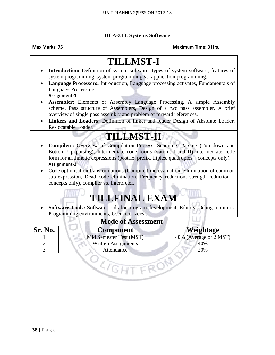### **BCA-313: Systems Software**

### **Max Marks: 75 Maximum Time: 3 Hrs.**

## **TILLMST-I**

- **Introduction:** Definition of system software, types of system software, features of system programming, system programming vs. application programming.
- **Language Processors:** Introduction, Language processing activates, Fundamentals of Language Processing.

**Assignment-1**

- **Assembler:** Elements of Assembly Language Processing, A simple Assembly scheme, Pass structure of Assemblers, Design of a two pass assembler. A brief overview of single pass assembly and problem of forward references.
- **Linkers and Loaders:** Definition of linker and loader Design of Absolute Loader, Re-locatable Loader.

## **TILLMST-II**

- **Compilers:** Overview of Compilation Process, Scanning, Parsing (Top down and Bottom Up parsing), Intermediate code forms (variant I and II) intermediate code form for arithmetic expressions (postfix, prefix, triples, quadruples – concepts only), **Assignment-2**
- Code optimisation transformations (Compile time evaluation, Elimination of common sub-expression, Dead code elimination, Frequency reduction, strength reduction – concepts only), compiler vs. interpreter.

## **TILLFINAL EXAM**

 **Software Tools:** Software tools for program development, Editors, Debug monitors, Programming environments, User Interfaces..

| <b>Mode of Assessment</b> |                            |                        |  |  |
|---------------------------|----------------------------|------------------------|--|--|
| Sr. No.                   | <b>Component</b>           | Weightage              |  |  |
|                           | Mid Semester Test (MST)    | 40% (Average of 2 MST) |  |  |
|                           | <b>Written Assignments</b> | 40%                    |  |  |
|                           | Attendance                 | 20%                    |  |  |
|                           |                            |                        |  |  |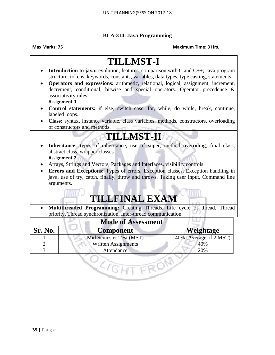### **BCA-314: Java Programming**

### **Max Marks: 75 Maximum Time: 3 Hrs.**

### **TILLMST-I Introduction to java:** evolution, features, comparison with C and C++; Java program structure; tokens, keywords, constants, variables, data types, type casting, statements. **Operators and expressions:** arithmetic, relational, logical, assignment, increment, decrement, conditional, bitwise and special operators. Operator precedence & associativity rules. **Assignment-1 Control statements:** if else, switch case, for, while, do while, break, continue, labeled loops. **Class:** syntax, instance variable, class variables, methods, constructors, overloading of constructors and methods. **TILLMST-II Inheritance:** types of inheritance, use of super, method overriding, final class, abstract class, wrapper classes **Assignment-2** Arrays, Strings and Vectors, Packages and Interfaces, visibility controls **Errors and Exceptions:** Types of errors, Exception classes, Exception handling in java, use of try, catch, finally, throw and throws. Taking user input, Command line arguments. **TILLFINAL EXAM Multithreaded Programming:** Creating Threads, Life cycle of thread, Thread priority, Thread synchronization, Inter-thread communication. **Mode of Assessment Sr. No. Component Weightage** 1 Mid Semester Test (MST) 40% (Average of 2 MST) 2 Written Assignments 140%

3 Attendance 20%

<u>ि</u>ंदम

FRON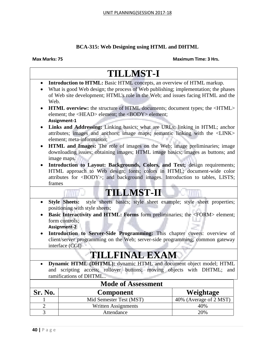### **BCA-315: Web Designing using HTML and DHTML**

|                   | <b>TILLMST-I</b>                                                                                                                                       |                        |  |  |
|-------------------|--------------------------------------------------------------------------------------------------------------------------------------------------------|------------------------|--|--|
|                   | Introduction to HTML: Basic HTML concepts, an overview of HTML markup.                                                                                 |                        |  |  |
|                   | What is good Web design; the process of Web publishing; implementation; the phases                                                                     |                        |  |  |
|                   | of Web site development; HTML's role in the Web; and issues facing HTML and the                                                                        |                        |  |  |
| Web.              |                                                                                                                                                        |                        |  |  |
|                   | <b>HTML overview:</b> the structure of HTML documents; document types; the <html></html>                                                               |                        |  |  |
|                   | element; the <head> element; the <body> element;</body></head>                                                                                         |                        |  |  |
|                   | Assignment-1                                                                                                                                           |                        |  |  |
| $\bullet$         | Links and Addressing: Linking basics; what are URLs; linking in HTML; anchor                                                                           |                        |  |  |
|                   | attributes; images and anchors; image maps; semantic linking with the <link/>                                                                          |                        |  |  |
|                   | element; meta-information;                                                                                                                             |                        |  |  |
|                   | <b>HTML</b> and Images: The role of images on the Web; image preliminaries; image                                                                      |                        |  |  |
|                   | downloading issues; obtaining images; HTML image basics; images as buttons; and                                                                        |                        |  |  |
|                   | image maps.                                                                                                                                            |                        |  |  |
| $\bullet$         | Introduction to Layout: Backgrounds, Colors, and Text; design requirements;<br>HTML approach to Web design; fonts; colors in HTML; document-wide color |                        |  |  |
|                   | attributes for <body>; and background images. Introduction to tables, LISTS;</body>                                                                    |                        |  |  |
| frames            |                                                                                                                                                        |                        |  |  |
|                   | <b>TILLMST-II</b>                                                                                                                                      |                        |  |  |
|                   |                                                                                                                                                        |                        |  |  |
| $\bullet$         | style sheets basics; style sheet example; style sheet properties;<br><b>Style Sheets:</b>                                                              |                        |  |  |
|                   | positioning with style sheets;                                                                                                                         |                        |  |  |
|                   | Basic Interactivity and HTML: Forms form preliminaries; the <form> element;</form>                                                                     |                        |  |  |
|                   | form controls;                                                                                                                                         |                        |  |  |
|                   | <b>Assignment-2</b>                                                                                                                                    |                        |  |  |
|                   | Introduction to Server-Side Programming: This chapter covers: overview of                                                                              |                        |  |  |
|                   | client/server programming on the Web; server-side programming; common gateway<br>interface (CGI)                                                       |                        |  |  |
|                   |                                                                                                                                                        |                        |  |  |
|                   | <b>TILLFINAL EXAM</b>                                                                                                                                  |                        |  |  |
|                   | Dynamic HTML (DHTML): dynamic HTML and document object model; HTML                                                                                     |                        |  |  |
|                   | and scripting access; rollover buttons; moving objects with DHTML; and                                                                                 |                        |  |  |
|                   | ramifications of DHTML.                                                                                                                                |                        |  |  |
|                   | <b>Mode of Assessment</b>                                                                                                                              |                        |  |  |
| <b>Sr. No.</b>    | <b>Component</b>                                                                                                                                       | Weightage              |  |  |
|                   | Mid Semester Test (MST)                                                                                                                                | 40% (Average of 2 MST) |  |  |
|                   | <b>Written Assignments</b>                                                                                                                             | 40%                    |  |  |
| $\mathbf{2}$<br>3 |                                                                                                                                                        |                        |  |  |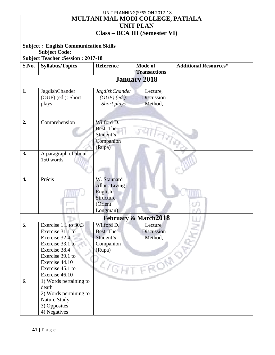| UNIT PLANNING(SESSION 2017-18     |                                              |                       |                                      |                              |  |  |
|-----------------------------------|----------------------------------------------|-----------------------|--------------------------------------|------------------------------|--|--|
| MULTANI MAL MODI COLLEGE, PATIALA |                                              |                       |                                      |                              |  |  |
|                                   | <b>UNIT PLAN</b>                             |                       |                                      |                              |  |  |
|                                   |                                              |                       |                                      |                              |  |  |
|                                   |                                              |                       | <b>Class – BCA III (Semester VI)</b> |                              |  |  |
|                                   |                                              |                       |                                      |                              |  |  |
|                                   | <b>Subject: English Communication Skills</b> |                       |                                      |                              |  |  |
|                                   | <b>Subject Code:</b>                         |                       |                                      |                              |  |  |
|                                   | <b>Subject Teacher: Session: 2017-18</b>     |                       |                                      |                              |  |  |
| S.No.                             | <b>Syllabus/Topics</b>                       | <b>Reference</b>      | <b>Mode of</b>                       | <b>Additional Resources*</b> |  |  |
|                                   |                                              |                       | <b>Transactions</b>                  |                              |  |  |
|                                   |                                              |                       | <b>January 2018</b>                  |                              |  |  |
|                                   |                                              |                       |                                      |                              |  |  |
| 1.                                | JagdishChander                               | <b>JagdishChander</b> | Lecture,                             |                              |  |  |
|                                   | (OUP) (ed.): Short                           | $(OUP)$ (ed.):        | Discussion                           |                              |  |  |
|                                   | plays                                        | Short plays           | Method,                              |                              |  |  |
|                                   |                                              |                       |                                      |                              |  |  |
|                                   |                                              |                       |                                      |                              |  |  |
| 2.                                | Comprehension                                | Wilford D.            |                                      |                              |  |  |
|                                   |                                              | <b>Best: The</b>      |                                      |                              |  |  |
|                                   |                                              | Student's             |                                      |                              |  |  |
|                                   |                                              | Companion             |                                      |                              |  |  |
|                                   |                                              |                       |                                      |                              |  |  |
| 3.                                |                                              | (Rupa)                |                                      |                              |  |  |
|                                   | A paragraph of about                         |                       |                                      |                              |  |  |
|                                   | 150 words                                    |                       |                                      |                              |  |  |
|                                   |                                              |                       |                                      |                              |  |  |
|                                   |                                              |                       |                                      |                              |  |  |
| 4.                                | Précis                                       | W. Stannard           |                                      |                              |  |  |
|                                   |                                              | Allan: Living         |                                      |                              |  |  |
|                                   |                                              | English               |                                      |                              |  |  |
|                                   |                                              | Structure             |                                      |                              |  |  |
|                                   |                                              | (Orient               |                                      |                              |  |  |
|                                   |                                              | Longman)              |                                      |                              |  |  |
|                                   | <b>February &amp; March2018</b>              |                       |                                      |                              |  |  |
| 5.                                | Exercise 1.1 to $30.3$                       | Wilford D.            | Lecture,                             |                              |  |  |
|                                   | Exercise 31.1 to                             | <b>Best: The</b>      | Discussion                           |                              |  |  |
|                                   | Exercise 32.4                                | Student's             | Method,                              |                              |  |  |
|                                   | Exercise 33.1 to                             | Companion             |                                      |                              |  |  |
|                                   | Exercise 38.4                                | (Rupa)                |                                      |                              |  |  |
|                                   | Exercise 39.1 to                             |                       |                                      |                              |  |  |
|                                   | Exercise 44.10                               |                       |                                      |                              |  |  |
|                                   | Exercise 45.1 to                             |                       |                                      |                              |  |  |
|                                   | Exercise 46.10                               |                       |                                      |                              |  |  |
| 6.                                | 1) Words pertaining to                       |                       |                                      |                              |  |  |
|                                   | death                                        |                       |                                      |                              |  |  |
|                                   |                                              |                       |                                      |                              |  |  |
|                                   | 2) Words pertaining to                       |                       |                                      |                              |  |  |
|                                   | Nature Study                                 |                       |                                      |                              |  |  |
|                                   | 3) Opposites                                 |                       |                                      |                              |  |  |
|                                   | 4) Negatives                                 |                       |                                      |                              |  |  |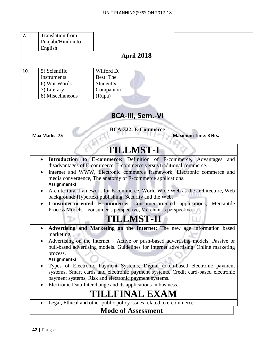| 7.  | <b>Translation</b> from<br>Punjabi/Hindi into<br>English                        |                                                             |  |  |  |  |
|-----|---------------------------------------------------------------------------------|-------------------------------------------------------------|--|--|--|--|
|     | <b>April 2018</b>                                                               |                                                             |  |  |  |  |
| 10. | 5) Scientific<br>Instruments<br>6) War Words<br>7) Literary<br>8) Miscellaneous | Wilford D.<br>Best: The<br>Student's<br>Companion<br>(Rupa) |  |  |  |  |

### **BCA-III, Sem.-VI**

**BCA-322: E-Commerce**

**Max Marks: 75 Maximum Time: 3 Hrs.**

## **TILLMST-I**

- **Introduction to E-commerce:** Definition of E-commerce, Advantages and disadvantages of E-commerce, E-commerce versus traditional commerce.
- Internet and WWW, Electronic commerce framework, Electronic commerce and media convergence, The anatomy of E-commerce applications. **Assignment-1**
- Architectural framework for E-commerce, World Wide Web as the architecture, Web background: Hypertext publishing, Security and the Web.
- **Consumer-oriented E-commerce:** Consumer-oriented applications, Mercantile Process Models – consumer's perspective, Merchant's perspective.

## **TILLMST-II**

- **Advertising and Marketing on the Internet:** The new age information based marketing,
- Advertising on the Internet Active or push-based advertising models, Passive or pull-based advertising models. Guidelines for Internet advertising. Online marketing process.

### **Assignment-2**

- Types of Electronic Payment Systems, Digital token-based electronic payment systems, Smart cards and electronic payment systems, Credit card-based electronic payment systems, Risk and electronic payment systems.
- Electronic Data Interchange and its applications in business.

## **TILLFINAL EXAM**

Legal, Ethical and other public policy issues related to e-commerce.

### **Mode of Assessment**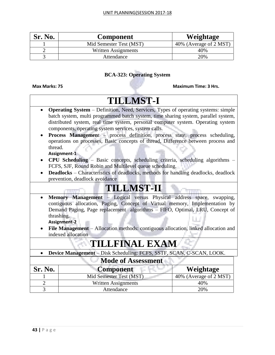| <b>Sr. No.</b> | <b>Component</b>        | Weightage              |
|----------------|-------------------------|------------------------|
|                | Mid Semester Test (MST) | 40% (Average of 2 MST) |
|                | Written Assignments     | 40%                    |
|                | Attendance              | 20%                    |

### **BCA-323: Operating System**

|                                                                                                                                                                                                                                                                                                                                                                                           | <b>TILLMST-I</b>                                                                                                                                                                                                                                                                                                           |                        |  |  |  |
|-------------------------------------------------------------------------------------------------------------------------------------------------------------------------------------------------------------------------------------------------------------------------------------------------------------------------------------------------------------------------------------------|----------------------------------------------------------------------------------------------------------------------------------------------------------------------------------------------------------------------------------------------------------------------------------------------------------------------------|------------------------|--|--|--|
| $\bullet$                                                                                                                                                                                                                                                                                                                                                                                 | <b>Operating System</b> – Definition, Need, Services, Types of operating systems: simple<br>batch system, multi programmed batch system, time sharing system, parallel system,<br>distributed system, real time system, personal computer system. Operating system<br>components, operating system services, system calls. |                        |  |  |  |
|                                                                                                                                                                                                                                                                                                                                                                                           | Process Management - process definition, process state, process scheduling,<br>operations on processes, Basic concepts of thread, Difference between process and<br>thread.<br>Assignment-1                                                                                                                                |                        |  |  |  |
| $\bullet$                                                                                                                                                                                                                                                                                                                                                                                 | CPU Scheduling - Basic concepts, scheduling criteria, scheduling algorithms -                                                                                                                                                                                                                                              |                        |  |  |  |
| $\bullet$                                                                                                                                                                                                                                                                                                                                                                                 | FCFS, SJF, Round Robin and Multilevel queue scheduling.<br><b>Deadlocks</b> – Characteristics of deadlocks, methods for handling deadlocks, deadlock<br>prevention, deadlock avoidance                                                                                                                                     |                        |  |  |  |
| <b>TILLMST-II</b>                                                                                                                                                                                                                                                                                                                                                                         |                                                                                                                                                                                                                                                                                                                            |                        |  |  |  |
| Memory Management - Logical versus Physical address space, swapping,<br>$\bullet$<br>contiguous allocation, Paging, Concept of Virtual memory, Implementation by<br>Demand Paging, Page replacement algorithms - FIFO, Optimal, LRU, Concept of<br>thrashing.<br>Assignment-2<br>File Management - Allocation methods: contiguous allocation, linked allocation and<br>indexed allocation |                                                                                                                                                                                                                                                                                                                            |                        |  |  |  |
| <b>TILLFINAL EXAM</b>                                                                                                                                                                                                                                                                                                                                                                     |                                                                                                                                                                                                                                                                                                                            |                        |  |  |  |
| Device Management - Disk Scheduling: FCFS, SSTF, SCAN, C-SCAN, LOOK.<br>$\bullet$                                                                                                                                                                                                                                                                                                         |                                                                                                                                                                                                                                                                                                                            |                        |  |  |  |
| <b>Mode of Assessment</b>                                                                                                                                                                                                                                                                                                                                                                 |                                                                                                                                                                                                                                                                                                                            |                        |  |  |  |
| Sr. No.                                                                                                                                                                                                                                                                                                                                                                                   | <b>Component</b>                                                                                                                                                                                                                                                                                                           | Weightage              |  |  |  |
|                                                                                                                                                                                                                                                                                                                                                                                           | Mid Semester Test (MST)                                                                                                                                                                                                                                                                                                    | 40% (Average of 2 MST) |  |  |  |
| $\overline{2}$                                                                                                                                                                                                                                                                                                                                                                            | <b>Written Assignments</b>                                                                                                                                                                                                                                                                                                 | 40%                    |  |  |  |
| 3                                                                                                                                                                                                                                                                                                                                                                                         | Attendance                                                                                                                                                                                                                                                                                                                 | 20%                    |  |  |  |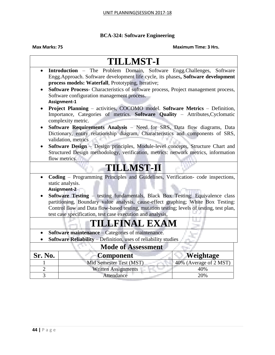### **BCA-324: Software Engineering**

|                                                                                                                                                                                                                                                                                                                                     | <b>TILLMST-I</b>                                                                                                                                                                                                |                        |  |  |
|-------------------------------------------------------------------------------------------------------------------------------------------------------------------------------------------------------------------------------------------------------------------------------------------------------------------------------------|-----------------------------------------------------------------------------------------------------------------------------------------------------------------------------------------------------------------|------------------------|--|--|
| $\bullet$                                                                                                                                                                                                                                                                                                                           | Introduction - The Problem Domain, Software Engg.Challenges, Software<br>Engg.Approach. Software development life cycle, its phases, Software development<br>process models: Waterfall, Prototyping, Iterative; |                        |  |  |
|                                                                                                                                                                                                                                                                                                                                     | Software Process- Characteristics of software process, Project management process,<br>Software configuration management process.<br>Assignment-1                                                                |                        |  |  |
|                                                                                                                                                                                                                                                                                                                                     | Project Planning - activities, COCOMO model. Software Metrics - Definition,<br>Importance, Categories of metrics. Software Quality - Attributes, Cyclomatic<br>complexity metric.                               |                        |  |  |
|                                                                                                                                                                                                                                                                                                                                     | Software Requirements Analysis - Need for SRS, Data flow diagrams, Data<br>Dictionary, entity relationship diagram, Characteristics and components of SRS,<br>validation, metrics                               |                        |  |  |
| $\bullet$                                                                                                                                                                                                                                                                                                                           | Software Design - Design principles, Module-level concepts, Structure Chart and<br>Structured Design methodology, verification, metrics: network metrics, information<br>flow metrics.                          |                        |  |  |
| <b>TILLMST-II</b>                                                                                                                                                                                                                                                                                                                   |                                                                                                                                                                                                                 |                        |  |  |
| $\bullet$                                                                                                                                                                                                                                                                                                                           | Coding – Programming Principles and Guidelines, Verification- code inspections,<br>static analysis.<br>Assignment-2                                                                                             |                        |  |  |
| <b>Software Testing – testing fundamentals, Black Box Testing: Equivalence class</b><br>partitioning, Boundary value analysis, cause-effect graphing; White Box Testing:<br>Control flow and Data flow-based testing, mutation testing; levels of testing, test plan,<br>test case specification, test case execution and analysis, |                                                                                                                                                                                                                 |                        |  |  |
|                                                                                                                                                                                                                                                                                                                                     | TILLFINAL EXAM                                                                                                                                                                                                  |                        |  |  |
|                                                                                                                                                                                                                                                                                                                                     | Software maintenance - Categories of maintenance.<br>Software Reliability - Definition, uses of reliability studies                                                                                             |                        |  |  |
| <b>Mode of Assessment</b>                                                                                                                                                                                                                                                                                                           |                                                                                                                                                                                                                 |                        |  |  |
| Sr. No.                                                                                                                                                                                                                                                                                                                             | <b>Component</b>                                                                                                                                                                                                | Weightage              |  |  |
|                                                                                                                                                                                                                                                                                                                                     | Mid Semester Test (MST)                                                                                                                                                                                         | 40% (Average of 2 MST) |  |  |
| $\overline{c}$<br>$\overline{3}$                                                                                                                                                                                                                                                                                                    | <b>Written Assignments</b><br>Attendance                                                                                                                                                                        | 40%<br>20%             |  |  |
|                                                                                                                                                                                                                                                                                                                                     |                                                                                                                                                                                                                 |                        |  |  |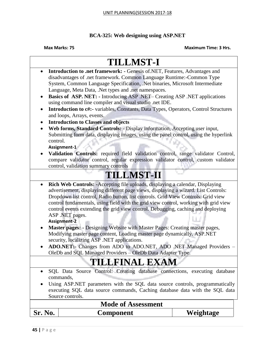### **BCA-325: Web designing using ASP.NET**

| <b>Sr. No.</b>                                                                                                                | <b>Component</b>                                                                                                                                                         | Weightage |  |  |
|-------------------------------------------------------------------------------------------------------------------------------|--------------------------------------------------------------------------------------------------------------------------------------------------------------------------|-----------|--|--|
| <b>Mode of Assessment</b>                                                                                                     |                                                                                                                                                                          |           |  |  |
|                                                                                                                               | Source controls.                                                                                                                                                         |           |  |  |
|                                                                                                                               | executing SQL data source commands, Caching database data with the SQL data                                                                                              |           |  |  |
|                                                                                                                               | commands,<br>Using ASP.NET parameters with the SQL data source controls, programmatically                                                                                |           |  |  |
| SQL Data Source Control: Creating database connections, executing database<br>$\bullet$                                       |                                                                                                                                                                          |           |  |  |
|                                                                                                                               |                                                                                                                                                                          |           |  |  |
| <b>TILLFINAL EXAM</b>                                                                                                         |                                                                                                                                                                          |           |  |  |
| OleDb and SQL Managed Providers - OleDb Data Adapter Type.                                                                    |                                                                                                                                                                          |           |  |  |
| security, localizing ASP .NET applications.<br>ADO.NET:- Changes from ADO to ADO.NET, ADO .NET Managed Providers<br>$\bullet$ |                                                                                                                                                                          |           |  |  |
| Modifying master page content, Loading master page dynamically. ASP.NET                                                       |                                                                                                                                                                          |           |  |  |
| Master pages: - Designing Website with Master Pages: Creating master pages,<br>٠                                              |                                                                                                                                                                          |           |  |  |
|                                                                                                                               | Assignment-2                                                                                                                                                             |           |  |  |
|                                                                                                                               | ASP .NET pages.                                                                                                                                                          |           |  |  |
|                                                                                                                               | control fundamentals, using field with the grid view control, working with grid view<br>control events extending the grid view control. Debugging, caching and deploying |           |  |  |
|                                                                                                                               | Dropdown list control, Radio button, list controls. Grid View Controls: Grid view                                                                                        |           |  |  |
|                                                                                                                               | advertisement, displaying different page views, displaying a wizard. List Controls:                                                                                      |           |  |  |
| $\bullet$                                                                                                                     | Rich Web Controls: - Accepting file uploads, displaying a calendar, Displaying                                                                                           |           |  |  |
| <b>TILLMST-II</b>                                                                                                             |                                                                                                                                                                          |           |  |  |
| control, validation summary controls                                                                                          |                                                                                                                                                                          |           |  |  |
|                                                                                                                               | compare validator control, regular expression validator control, custom validator                                                                                        |           |  |  |
|                                                                                                                               | Validation Controls: required field validation control, range validator Control,                                                                                         |           |  |  |
| control.                                                                                                                      | Assignment-1                                                                                                                                                             |           |  |  |
|                                                                                                                               | Submitting form data, displaying images, using the panel control, using the hyperlink                                                                                    |           |  |  |
| $\bullet$                                                                                                                     | Web forms, Standard Controls: - Display information, Accepting user input,                                                                                               |           |  |  |
|                                                                                                                               | <b>Introduction to Classes and objects</b>                                                                                                                               |           |  |  |
| $\bullet$                                                                                                                     | and loops, Arrays, events.                                                                                                                                               |           |  |  |
|                                                                                                                               | using command line compiler and visual studio .net IDE.<br>Introduction to c#:- variables, Constants, Data Types, Operators, Control Structures                          |           |  |  |
| $\bullet$                                                                                                                     | <b>Basics of ASP. NET:</b> - Introducing ASP .NET- Creating ASP .NET applications                                                                                        |           |  |  |
| Language, Meta Data, .Net types and .net namespaces.                                                                          |                                                                                                                                                                          |           |  |  |
| System, Common Language Specification, .Net binaries, Microsoft Intermediate                                                  |                                                                                                                                                                          |           |  |  |
| $\bullet$                                                                                                                     | Introduction to .net framework: - Genesis of.NET, Features, Advantages and<br>disadvantages of .net framework. Common Language Runtime:-Common Type                      |           |  |  |
|                                                                                                                               |                                                                                                                                                                          |           |  |  |
|                                                                                                                               | <b>TILLMST-I</b>                                                                                                                                                         |           |  |  |